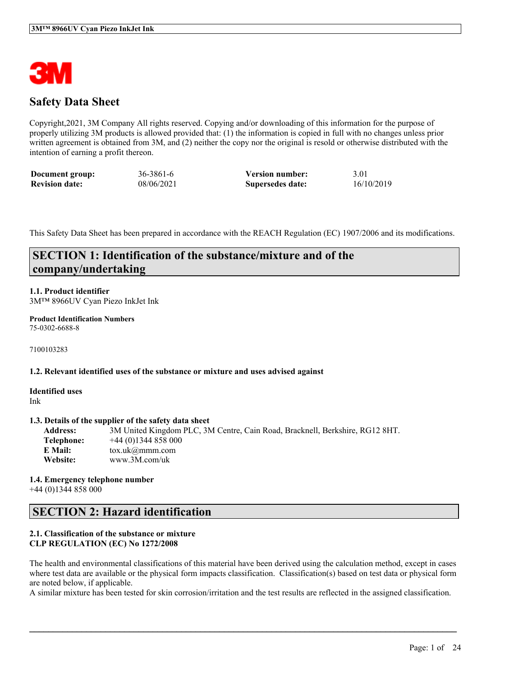

# **Safety Data Sheet**

Copyright,2021, 3M Company All rights reserved. Copying and/or downloading of this information for the purpose of properly utilizing 3M products is allowed provided that: (1) the information is copied in full with no changes unless prior written agreement is obtained from 3M, and (2) neither the copy nor the original is resold or otherwise distributed with the intention of earning a profit thereon.

| Document group:       | 36-3861-6  | <b>Version number:</b> | 3.01       |
|-----------------------|------------|------------------------|------------|
| <b>Revision date:</b> | 08/06/2021 | Supersedes date:       | 16/10/2019 |

This Safety Data Sheet has been prepared in accordance with the REACH Regulation (EC) 1907/2006 and its modifications.

# **SECTION 1: Identification of the substance/mixture and of the company/undertaking**

# **1.1. Product identifier**

3M™ 8966UV Cyan Piezo InkJet Ink

#### **Product Identification Numbers** 75-0302-6688-8

7100103283

#### **1.2. Relevant identified uses of the substance or mixture and uses advised against**

**Identified uses** Ink

#### **1.3. Details of the supplier of the safety data sheet**

**Address:** 3M United Kingdom PLC, 3M Centre, Cain Road, Bracknell, Berkshire, RG12 8HT. **Telephone:** +44 (0)1344 858 000 **E Mail:** tox.uk@mmm.com **Website:** www.3M.com/uk

#### **1.4. Emergency telephone number** +44 (0)1344 858 000

# **SECTION 2: Hazard identification**

### **2.1. Classification of the substance or mixture CLP REGULATION (EC) No 1272/2008**

The health and environmental classifications of this material have been derived using the calculation method, except in cases where test data are available or the physical form impacts classification. Classification(s) based on test data or physical form are noted below, if applicable.

A similar mixture has been tested for skin corrosion/irritation and the test results are reflected in the assigned classification.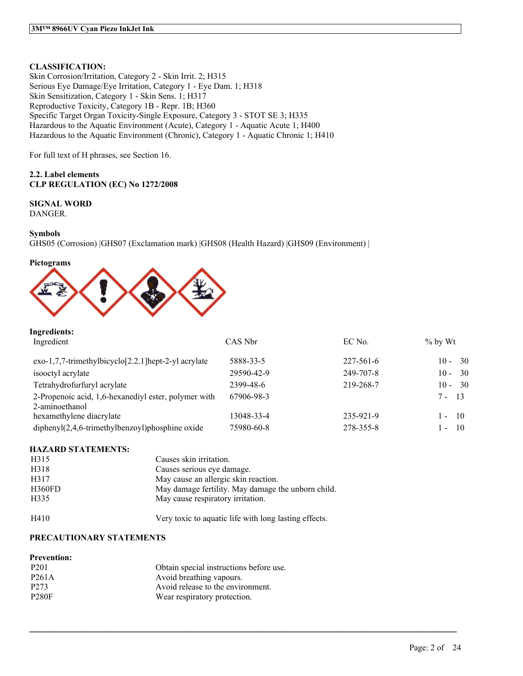# **CLASSIFICATION:**

Skin Corrosion/Irritation, Category 2 - Skin Irrit. 2; H315 Serious Eye Damage/Eye Irritation, Category 1 - Eye Dam. 1; H318 Skin Sensitization, Category 1 - Skin Sens. 1; H317 Reproductive Toxicity, Category 1B - Repr. 1B; H360 Specific Target Organ Toxicity-Single Exposure, Category 3 - STOT SE 3; H335 Hazardous to the Aquatic Environment (Acute), Category 1 - Aquatic Acute 1; H400 Hazardous to the Aquatic Environment (Chronic), Category 1 - Aquatic Chronic 1; H410

For full text of H phrases, see Section 16.

### **2.2. Label elements CLP REGULATION (EC) No 1272/2008**

## **SIGNAL WORD**

DANGER.

### **Symbols**

GHS05 (Corrosion) |GHS07 (Exclamation mark) |GHS08 (Health Hazard) |GHS09 (Environment) |

#### **Pictograms**



#### **Ingredients:**

| Ingredient                                                             | CAS Nbr    | EC No.          | $\%$ by Wt                     |
|------------------------------------------------------------------------|------------|-----------------|--------------------------------|
| $exo-1,7,7-$ trimethylbicyclo $[2.2.1]$ hept-2-yl acrylate             | 5888-33-5  | $227 - 561 - 6$ | - 30<br>$10 -$                 |
| isooctyl acrylate                                                      | 29590-42-9 | 249-707-8       | - 30<br>$10 -$                 |
| Tetrahydrofurfuryl acrylate                                            | 2399-48-6  | 219-268-7       | $10 - 30$                      |
| 2-Propenoic acid, 1,6-hexanediyl ester, polymer with<br>2-aminoethanol | 67906-98-3 |                 | $7 - 13$                       |
| hexamethylene diacrylate                                               | 13048-33-4 | 235-921-9       | - 10<br>$\sim$                 |
| $diphenyl(2,4,6-trimethylbenzoyl)phosphine oxide$                      | 75980-60-8 | 278-355-8       | 10<br>$\overline{\phantom{a}}$ |

 $\mathcal{L}_\mathcal{L} = \mathcal{L}_\mathcal{L} = \mathcal{L}_\mathcal{L} = \mathcal{L}_\mathcal{L} = \mathcal{L}_\mathcal{L} = \mathcal{L}_\mathcal{L} = \mathcal{L}_\mathcal{L} = \mathcal{L}_\mathcal{L} = \mathcal{L}_\mathcal{L} = \mathcal{L}_\mathcal{L} = \mathcal{L}_\mathcal{L} = \mathcal{L}_\mathcal{L} = \mathcal{L}_\mathcal{L} = \mathcal{L}_\mathcal{L} = \mathcal{L}_\mathcal{L} = \mathcal{L}_\mathcal{L} = \mathcal{L}_\mathcal{L}$ 

#### **HAZARD STATEMENTS:**

| H315   | Causes skin irritation.                               |
|--------|-------------------------------------------------------|
| H318   | Causes serious eye damage.                            |
| H317   | May cause an allergic skin reaction.                  |
| H360FD | May damage fertility. May damage the unborn child.    |
| H335   | May cause respiratory irritation.                     |
| H410   | Very toxic to aquatic life with long lasting effects. |

## **PRECAUTIONARY STATEMENTS**

| <b>Prevention:</b> |                                         |
|--------------------|-----------------------------------------|
| P <sub>201</sub>   | Obtain special instructions before use. |
| P <sub>261</sub> A | Avoid breathing vapours.                |
| P <sub>273</sub>   | Avoid release to the environment.       |
| <b>P280F</b>       | Wear respiratory protection.            |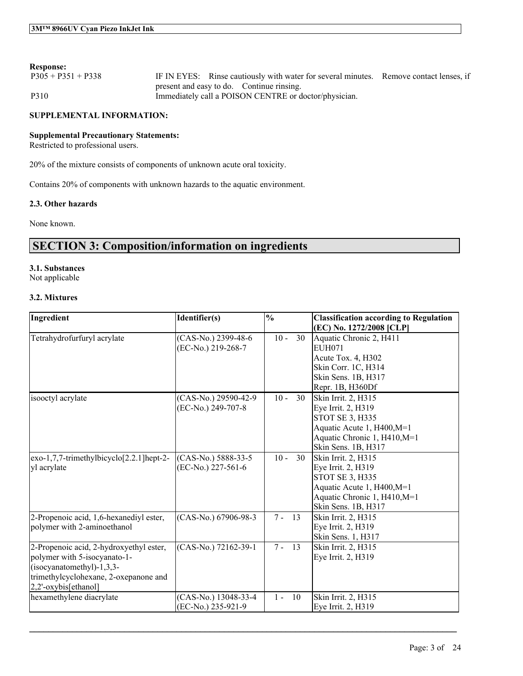## **Response:**

| $P305 + P351 + P338$ | IF IN EYES: Rinse cautiously with water for several minutes. Remove contact lenses, if |  |
|----------------------|----------------------------------------------------------------------------------------|--|
|                      | present and easy to do. Continue rinsing.                                              |  |
| P310                 | Immediately call a POISON CENTRE or doctor/physician.                                  |  |

#### **SUPPLEMENTAL INFORMATION:**

# **Supplemental Precautionary Statements:**

Restricted to professional users.

20% of the mixture consists of components of unknown acute oral toxicity.

Contains 20% of components with unknown hazards to the aquatic environment.

### **2.3. Other hazards**

None known.

# **SECTION 3: Composition/information on ingredients**

# **3.1. Substances**

Not applicable

## **3.2. Mixtures**

| Ingredient                               | Identifier(s)        | $\frac{1}{2}$ |    | <b>Classification according to Regulation</b>       |
|------------------------------------------|----------------------|---------------|----|-----------------------------------------------------|
| Tetrahydrofurfuryl acrylate              | (CAS-No.) 2399-48-6  | $10 -$        | 30 | (EC) No. 1272/2008 [CLP]<br>Aquatic Chronic 2, H411 |
|                                          | (EC-No.) 219-268-7   |               |    | EUH071                                              |
|                                          |                      |               |    | Acute Tox. 4, H302<br>Skin Corr. 1C, H314           |
|                                          |                      |               |    | Skin Sens. 1B, H317                                 |
|                                          |                      |               |    | Repr. 1B, H360Df                                    |
| isooctyl acrylate                        | (CAS-No.) 29590-42-9 | $10 -$        | 30 | Skin Irrit. 2, H315                                 |
|                                          | (EC-No.) 249-707-8   |               |    | Eye Irrit. 2, H319                                  |
|                                          |                      |               |    | STOT SE 3, H335                                     |
|                                          |                      |               |    | Aquatic Acute 1, H400, M=1                          |
|                                          |                      |               |    | Aquatic Chronic 1, H410, M=1                        |
|                                          |                      |               |    | Skin Sens. 1B, H317                                 |
| exo-1,7,7-trimethylbicyclo[2.2.1]hept-2- | (CAS-No.) 5888-33-5  | $10 -$        | 30 | Skin Irrit. 2, H315                                 |
| yl acrylate                              | (EC-No.) 227-561-6   |               |    | Eye Irrit. 2, H319<br>STOT SE 3, H335               |
|                                          |                      |               |    | Aquatic Acute 1, H400, M=1                          |
|                                          |                      |               |    | Aquatic Chronic 1, H410, M=1                        |
|                                          |                      |               |    | Skin Sens. 1B, H317                                 |
| 2-Propenoic acid, 1,6-hexanediyl ester,  | (CAS-No.) 67906-98-3 | $7 -$<br>13   |    | Skin Irrit. 2, H315                                 |
| polymer with 2-aminoethanol              |                      |               |    | Eye Irrit. 2, H319                                  |
|                                          |                      |               |    | Skin Sens. 1, H317                                  |
| 2-Propenoic acid, 2-hydroxyethyl ester,  | (CAS-No.) 72162-39-1 | $7 -$<br>13   |    | Skin Irrit. 2, H315                                 |
| polymer with 5-isocyanato-1-             |                      |               |    | Eye Irrit. 2, H319                                  |
| $(isocyanatomethyl)-1,3,3-$              |                      |               |    |                                                     |
| trimethylcyclohexane, 2-oxepanone and    |                      |               |    |                                                     |
| 2,2'-oxybis[ethanol]                     |                      |               |    |                                                     |
| hexamethylene diacrylate                 | (CAS-No.) 13048-33-4 | $1 -$<br>10   |    | Skin Irrit. 2, H315                                 |
|                                          | (EC-No.) 235-921-9   |               |    | Eye Irrit. 2, H319                                  |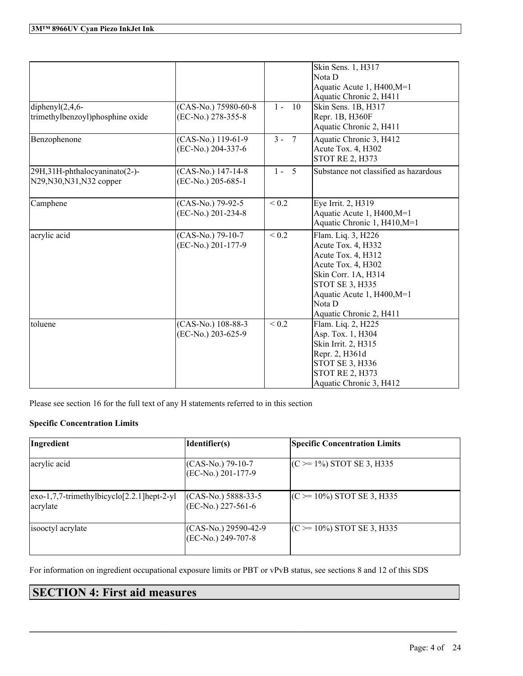|                                                            |                                            |            | Skin Sens. 1, H317<br>Nota D<br>Aquatic Acute 1, H400, M=1<br>Aquatic Chronic 2, H411                                                                                                                    |
|------------------------------------------------------------|--------------------------------------------|------------|----------------------------------------------------------------------------------------------------------------------------------------------------------------------------------------------------------|
| diphenyl $(2,4,6$ -<br>trimethylbenzoyl)phosphine oxide    | (CAS-No.) 75980-60-8<br>(EC-No.) 278-355-8 | $1 - 10$   | Skin Sens. 1B, H317<br>Repr. 1B, H360F<br>Aquatic Chronic 2, H411                                                                                                                                        |
| Benzophenone                                               | $(CAS-No.)$ 119-61-9<br>(EC-No.) 204-337-6 | $3 - 7$    | Aquatic Chronic 3, H412<br>Acute Tox. 4, H302<br><b>STOT RE 2, H373</b>                                                                                                                                  |
| 29H,31H-phthalocyaninato(2-)-<br>N29, N30, N31, N32 copper | (CAS-No.) 147-14-8<br>(EC-No.) 205-685-1   | $1 - 5$    | Substance not classified as hazardous                                                                                                                                                                    |
| Camphene                                                   | (CAS-No.) 79-92-5<br>(EC-No.) 201-234-8    | ${}_{0.2}$ | Eye Irrit. 2, H319<br>Aquatic Acute 1, H400, M=1<br>Aquatic Chronic 1, H410, M=1                                                                                                                         |
| acrylic acid                                               | (CAS-No.) 79-10-7<br>(EC-No.) 201-177-9    | ${}_{0.2}$ | Flam. Liq. 3, H226<br>Acute Tox. 4, H332<br>Acute Tox. 4, H312<br>Acute Tox. 4, H302<br>Skin Corr. 1A, H314<br><b>STOT SE 3, H335</b><br>Aquatic Acute 1, H400, M=1<br>Nota D<br>Aquatic Chronic 2, H411 |
| toluene                                                    | (CAS-No.) 108-88-3<br>(EC-No.) 203-625-9   | ${}_{0.2}$ | Flam. Liq. 2, H225<br>Asp. Tox. 1, H304<br>Skin Irrit. 2, H315<br>Repr. 2, H361d<br><b>STOT SE 3, H336</b><br><b>STOT RE 2, H373</b><br>Aquatic Chronic 3, H412                                          |

Please see section 16 for the full text of any H statements referred to in this section

# **Specific Concentration Limits**

| Ingredient                                                                                                           | Identifier(s)                                 | <b>Specific Concentration Limits</b> |
|----------------------------------------------------------------------------------------------------------------------|-----------------------------------------------|--------------------------------------|
| acrylic acid                                                                                                         | $(CAS-No.)$ 79-10-7<br>(EC-No.) 201-177-9     | $(C \ge 1\%)$ STOT SE 3, H335        |
| $\left[\frac{exo-1}{7}, \frac{7}{1}$ -trimethylbicyclo $\left[\frac{2}{2}, \frac{1}{1}\right]$ hept-2-yl<br>acrylate | $(CAS-No.) 5888-33-5$<br>$(EC-No.) 227-561-6$ | $(C \ge 10\%)$ STOT SE 3, H335       |
| isooctyl acrylate                                                                                                    | $(CAS-No.) 29590-42-9$<br>(EC-No.) 249-707-8  | $(C \ge 10\%)$ STOT SE 3, H335       |

For information on ingredient occupational exposure limits or PBT or vPvB status, see sections 8 and 12 of this SDS

 $\mathcal{L}_\mathcal{L} = \mathcal{L}_\mathcal{L} = \mathcal{L}_\mathcal{L} = \mathcal{L}_\mathcal{L} = \mathcal{L}_\mathcal{L} = \mathcal{L}_\mathcal{L} = \mathcal{L}_\mathcal{L} = \mathcal{L}_\mathcal{L} = \mathcal{L}_\mathcal{L} = \mathcal{L}_\mathcal{L} = \mathcal{L}_\mathcal{L} = \mathcal{L}_\mathcal{L} = \mathcal{L}_\mathcal{L} = \mathcal{L}_\mathcal{L} = \mathcal{L}_\mathcal{L} = \mathcal{L}_\mathcal{L} = \mathcal{L}_\mathcal{L}$ 

# **SECTION 4: First aid measures**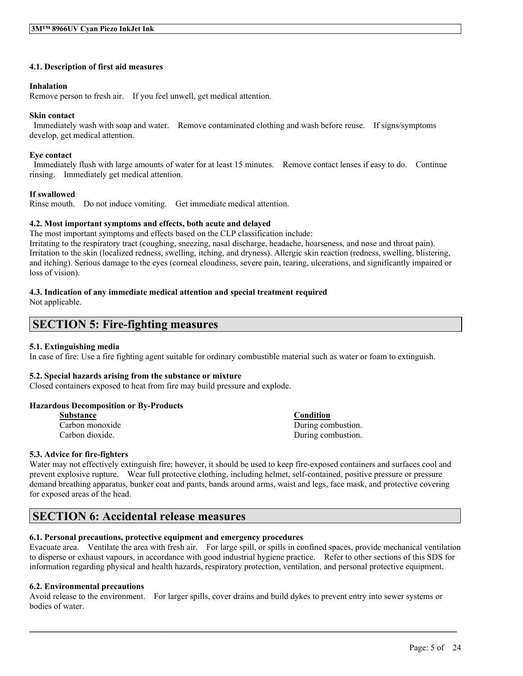#### **4.1. Description of first aid measures**

#### **Inhalation**

Remove person to fresh air. If you feel unwell, get medical attention.

#### **Skin contact**

Immediately wash with soap and water. Remove contaminated clothing and wash before reuse. If signs/symptoms develop, get medical attention.

### **Eye contact**

Immediately flush with large amounts of water for at least 15 minutes. Remove contact lenses if easy to do. Continue rinsing. Immediately get medical attention.

### **If swallowed**

Rinse mouth. Do not induce vomiting. Get immediate medical attention.

#### **4.2. Most important symptoms and effects, both acute and delayed**

The most important symptoms and effects based on the CLP classification include:

Irritating to the respiratory tract (coughing, sneezing, nasal discharge, headache, hoarseness, and nose and throat pain). Irritation to the skin (localized redness, swelling, itching, and dryness). Allergic skin reaction (redness, swelling, blistering, and itching). Serious damage to the eyes (corneal cloudiness, severe pain, tearing, ulcerations, and significantly impaired or loss of vision).

## **4.3. Indication of any immediate medical attention and special treatment required**

Not applicable.

# **SECTION 5: Fire-fighting measures**

## **5.1. Extinguishing media**

In case of fire: Use a fire fighting agent suitable for ordinary combustible material such as water or foam to extinguish.

#### **5.2. Special hazards arising from the substance or mixture**

Closed containers exposed to heat from fire may build pressure and explode.

#### **Hazardous Decomposition or By-Products**

| Substance       | Condition          |
|-----------------|--------------------|
| Carbon monoxide | During combustion. |
| Carbon dioxide. | During combustion. |

## **5.3. Advice for fire-fighters**

Water may not effectively extinguish fire; however, it should be used to keep fire-exposed containers and surfaces cool and prevent explosive rupture. Wear full protective clothing, including helmet, self-contained, positive pressure or pressure demand breathing apparatus, bunker coat and pants, bands around arms, waist and legs, face mask, and protective covering for exposed areas of the head.

# **SECTION 6: Accidental release measures**

# **6.1. Personal precautions, protective equipment and emergency procedures**

Evacuate area. Ventilate the area with fresh air. For large spill, or spills in confined spaces, provide mechanical ventilation to disperse or exhaust vapours, in accordance with good industrial hygiene practice. Refer to other sections of this SDS for information regarding physical and health hazards, respiratory protection, ventilation, and personal protective equipment.

# **6.2. Environmental precautions**

Avoid release to the environment. For larger spills, cover drains and build dykes to prevent entry into sewer systems or bodies of water.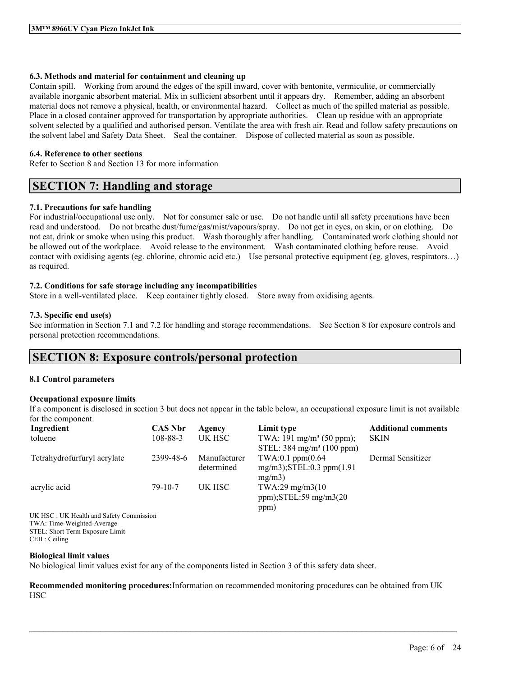### **6.3. Methods and material for containment and cleaning up**

Contain spill. Working from around the edges of the spill inward, cover with bentonite, vermiculite, or commercially available inorganic absorbent material. Mix in sufficient absorbent until it appears dry. Remember, adding an absorbent material does not remove a physical, health, or environmental hazard. Collect as much of the spilled material as possible. Place in a closed container approved for transportation by appropriate authorities. Clean up residue with an appropriate solvent selected by a qualified and authorised person. Ventilate the area with fresh air. Read and follow safety precautions on the solvent label and Safety Data Sheet. Seal the container. Dispose of collected material as soon as possible.

### **6.4. Reference to other sections**

Refer to Section 8 and Section 13 for more information

# **SECTION 7: Handling and storage**

## **7.1. Precautions for safe handling**

For industrial/occupational use only. Not for consumer sale or use. Do not handle until all safety precautions have been read and understood. Do not breathe dust/fume/gas/mist/vapours/spray. Do not get in eyes, on skin, or on clothing. Do not eat, drink or smoke when using this product. Wash thoroughly after handling. Contaminated work clothing should not be allowed out of the workplace. Avoid release to the environment. Wash contaminated clothing before reuse. Avoid contact with oxidising agents (eg. chlorine, chromic acid etc.) Use personal protective equipment (eg. gloves, respirators…) as required.

### **7.2. Conditions for safe storage including any incompatibilities**

Store in a well-ventilated place. Keep container tightly closed. Store away from oxidising agents.

### **7.3. Specific end use(s)**

See information in Section 7.1 and 7.2 for handling and storage recommendations. See Section 8 for exposure controls and personal protection recommendations.

# **SECTION 8: Exposure controls/personal protection**

#### **8.1 Control parameters**

## **Occupational exposure limits**

If a component is disclosed in section 3 but does not appear in the table below, an occupational exposure limit is not available for the component.

| Ingredient                              | <b>CAS Nbr</b> | Agency       | Limit type                           | <b>Additional comments</b> |
|-----------------------------------------|----------------|--------------|--------------------------------------|----------------------------|
| toluene                                 | 108-88-3       | UK HSC       | TWA: 191 mg/m <sup>3</sup> (50 ppm); | <b>SKIN</b>                |
|                                         |                |              | STEL: $384 \text{ mg/m}^3$ (100 ppm) |                            |
| Tetrahydrofurfuryl acrylate             | 2399-48-6      | Manufacturer | $TWA:0.1$ ppm $(0.64)$               | Dermal Sensitizer          |
|                                         |                | determined   | $mg/m3$ : STEL: 0.3 ppm $(1.91)$     |                            |
|                                         |                |              | mg/m3                                |                            |
| acrylic acid                            | $79-10-7$      | UK HSC       | TWA:29 mg/m3(10)                     |                            |
|                                         |                |              | ppm); $STEL:59$ mg/m $3(20)$         |                            |
|                                         |                |              | ppm)                                 |                            |
| UK HSC: UK Health and Safety Commission |                |              |                                      |                            |
| TWA: Time-Weighted-Average              |                |              |                                      |                            |
| STEL: Short Term Exposure Limit         |                |              |                                      |                            |
|                                         |                |              |                                      |                            |

CEIL: Ceiling

#### **Biological limit values**

No biological limit values exist for any of the components listed in Section 3 of this safety data sheet.

**Recommended monitoring procedures:**Information on recommended monitoring procedures can be obtained from UK **HSC**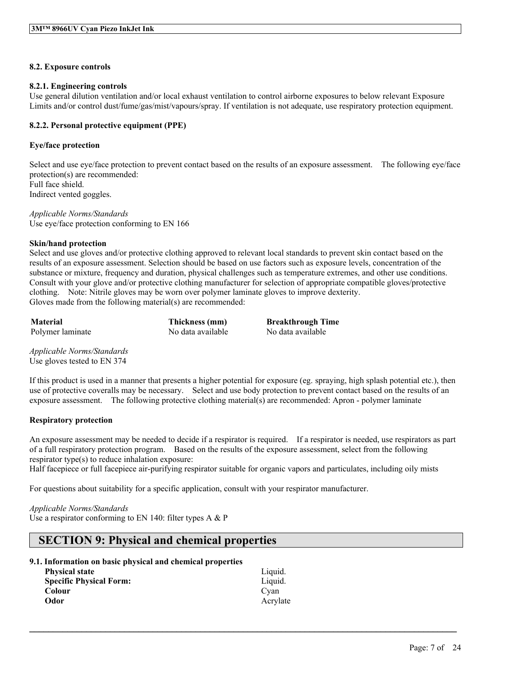### **8.2. Exposure controls**

#### **8.2.1. Engineering controls**

Use general dilution ventilation and/or local exhaust ventilation to control airborne exposures to below relevant Exposure Limits and/or control dust/fume/gas/mist/vapours/spray. If ventilation is not adequate, use respiratory protection equipment.

### **8.2.2. Personal protective equipment (PPE)**

### **Eye/face protection**

Select and use eye/face protection to prevent contact based on the results of an exposure assessment. The following eye/face protection(s) are recommended: Full face shield. Indirect vented goggles.

*Applicable Norms/Standards* Use eye/face protection conforming to EN 166

#### **Skin/hand protection**

Select and use gloves and/or protective clothing approved to relevant local standards to prevent skin contact based on the results of an exposure assessment. Selection should be based on use factors such as exposure levels, concentration of the substance or mixture, frequency and duration, physical challenges such as temperature extremes, and other use conditions. Consult with your glove and/or protective clothing manufacturer for selection of appropriate compatible gloves/protective clothing. Note: Nitrile gloves may be worn over polymer laminate gloves to improve dexterity. Gloves made from the following material(s) are recommended:

**Material Thickness (mm) Breakthrough Time** Polymer laminate No data available No data available

*Applicable Norms/Standards* Use gloves tested to EN 374

If this product is used in a manner that presents a higher potential for exposure (eg. spraying, high splash potential etc.), then use of protective coveralls may be necessary. Select and use body protection to prevent contact based on the results of an exposure assessment. The following protective clothing material(s) are recommended: Apron - polymer laminate

## **Respiratory protection**

An exposure assessment may be needed to decide if a respirator is required. If a respirator is needed, use respirators as part of a full respiratory protection program. Based on the results of the exposure assessment, select from the following respirator type(s) to reduce inhalation exposure:

 $\mathcal{L}_\mathcal{L} = \mathcal{L}_\mathcal{L} = \mathcal{L}_\mathcal{L} = \mathcal{L}_\mathcal{L} = \mathcal{L}_\mathcal{L} = \mathcal{L}_\mathcal{L} = \mathcal{L}_\mathcal{L} = \mathcal{L}_\mathcal{L} = \mathcal{L}_\mathcal{L} = \mathcal{L}_\mathcal{L} = \mathcal{L}_\mathcal{L} = \mathcal{L}_\mathcal{L} = \mathcal{L}_\mathcal{L} = \mathcal{L}_\mathcal{L} = \mathcal{L}_\mathcal{L} = \mathcal{L}_\mathcal{L} = \mathcal{L}_\mathcal{L}$ 

Half facepiece or full facepiece air-purifying respirator suitable for organic vapors and particulates, including oily mists

For questions about suitability for a specific application, consult with your respirator manufacturer.

*Applicable Norms/Standards*

Use a respirator conforming to EN 140: filter types  $A \& P$ 

# **SECTION 9: Physical and chemical properties**

#### **9.1. Information on basic physical and chemical properties**

| <b>Physical state</b>          | Liquid.  |
|--------------------------------|----------|
| <b>Specific Physical Form:</b> | Liquid.  |
| Colour                         | Cvan     |
| Odor                           | Acrylate |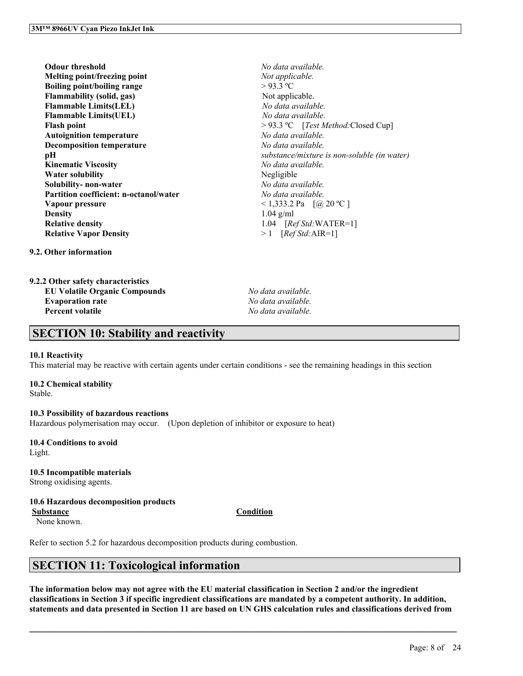**Odour threshold** *No data available.* **Melting point/freezing point** *Not applicable.* **Boiling point/boiling range** > 93.3 ºC **Flammability** (solid, gas) Not applicable. **Flammable Limits(LEL)** *No data available.* **Flammable Limits(UEL)** *No data available.* **Flash point**  $> 93.3$  °C [*Test Method:*Closed Cup] **Autoignition temperature** *No data available.* **Decomposition temperature** *No data available.* **Kinematic Viscosity** *No data available.* **Water solubility** Negligible **Solubility- non-water** *No data available.* **Partition coefficient: n-octanol/water** *No data available.* **Vapour pressure**  $\qquad \qquad \sim 1,333.2 \text{ Pa} \quad [\textcircled{a}, 20 \text{ °C}]$ **Density** 1.04 g/ml **Relative density** 1.04 [*Ref Std:*WATER=1] **Relative Vapor Density** > 1 [*Ref Std:*AIR=1]

**pH** *substance/mixture is non-soluble (in water)*

**9.2. Other information**

| 9.2.2 Other safety characteristics   |
|--------------------------------------|
| <b>EU Volatile Organic Compounds</b> |
| <b>Evaporation rate</b>              |
|                                      |

**EU Volatile Organic Compounds** *No data available.* **Evaporation rate** *No data available.* **Percent volatile** *No data available.*

# **SECTION 10: Stability and reactivity**

#### **10.1 Reactivity**

This material may be reactive with certain agents under certain conditions - see the remaining headings in this section

#### **10.2 Chemical stability**

Stable.

#### **10.3 Possibility of hazardous reactions**

Hazardous polymerisation may occur. (Upon depletion of inhibitor or exposure to heat)

#### **10.4 Conditions to avoid** Light.

## **10.5 Incompatible materials**

Strong oxidising agents.

# **10.6 Hazardous decomposition products**

**Substance Condition**

None known.

Refer to section 5.2 for hazardous decomposition products during combustion.

# **SECTION 11: Toxicological information**

The information below may not agree with the EU material classification in Section 2 and/or the ingredient classifications in Section 3 if specific ingredient classifications are mandated by a competent authority. In addition, statements and data presented in Section 11 are based on UN GHS calculation rules and classifications derived from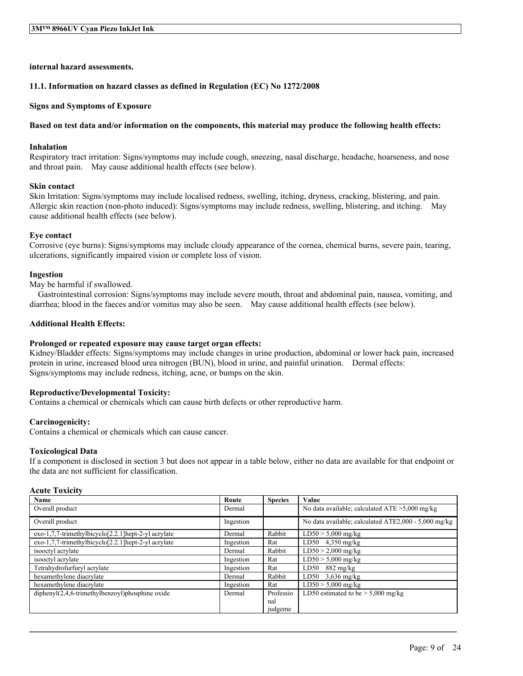**internal hazard assessments.**

#### **11.1. Information on hazard classes as defined in Regulation (EC) No 1272/2008**

#### **Signs and Symptoms of Exposure**

#### Based on test data and/or information on the components, this material may produce the following health effects:

#### **Inhalation**

Respiratory tract irritation: Signs/symptoms may include cough, sneezing, nasal discharge, headache, hoarseness, and nose and throat pain. May cause additional health effects (see below).

#### **Skin contact**

Skin Irritation: Signs/symptoms may include localised redness, swelling, itching, dryness, cracking, blistering, and pain. Allergic skin reaction (non-photo induced): Signs/symptoms may include redness, swelling, blistering, and itching. May cause additional health effects (see below).

#### **Eye contact**

Corrosive (eye burns): Signs/symptoms may include cloudy appearance of the cornea, chemical burns, severe pain, tearing, ulcerations, significantly impaired vision or complete loss of vision.

#### **Ingestion**

May be harmful if swallowed.

Gastrointestinal corrosion: Signs/symptoms may include severe mouth, throat and abdominal pain, nausea, vomiting, and diarrhea; blood in the faeces and/or vomitus may also be seen. May cause additional health effects (see below).

#### **Additional Health Effects:**

#### **Prolonged or repeated exposure may cause target organ effects:**

Kidney/Bladder effects: Signs/symptoms may include changes in urine production, abdominal or lower back pain, increased protein in urine, increased blood urea nitrogen (BUN), blood in urine, and painful urination. Dermal effects: Signs/symptoms may include redness, itching, acne, or bumps on the skin.

#### **Reproductive/Developmental Toxicity:**

Contains a chemical or chemicals which can cause birth defects or other reproductive harm.

#### **Carcinogenicity:**

Contains a chemical or chemicals which can cause cancer.

#### **Toxicological Data**

If a component is disclosed in section 3 but does not appear in a table below, either no data are available for that endpoint or the data are not sufficient for classification.

#### **Acute Toxicity**

| Name                                                | Route     | <b>Species</b> | Value                                                |
|-----------------------------------------------------|-----------|----------------|------------------------------------------------------|
| Overall product                                     | Dermal    |                | No data available; calculated $ATE > 5,000$ mg/kg    |
| Overall product                                     | Ingestion |                | No data available; calculated ATE2,000 - 5,000 mg/kg |
| exo-1,7,7-trimethylbicyclo[2.2.1]hept-2-yl acrylate | Dermal    | Rabbit         | $LD50 > 5,000$ mg/kg                                 |
| exo-1,7,7-trimethylbicyclo[2.2.1]hept-2-yl acrylate | Ingestion | Rat            | LD50 $4,350$ mg/kg                                   |
| isooctyl acrylate                                   | Dermal    | Rabbit         | $LD50 > 2,000$ mg/kg                                 |
| isooctyl acrylate                                   | Ingestion | Rat            | $LD50 > 5,000$ mg/kg                                 |
| Tetrahydrofurfuryl acrylate                         | Ingestion | Rat            | LD50<br>$882 \text{ mg/kg}$                          |
| hexamethylene diacrylate                            | Dermal    | Rabbit         | LD50<br>$3,636$ mg/kg                                |
| hexamethylene diacrylate                            | Ingestion | Rat            | $LD50 > 5,000$ mg/kg                                 |
| $dipheny I(2,4,6-trimethylbenzoyl)phosphine oxide$  | Dermal    | Professio      | LD50 estimated to be $> 5,000$ mg/kg                 |
|                                                     |           | nal            |                                                      |
|                                                     |           | judgeme        |                                                      |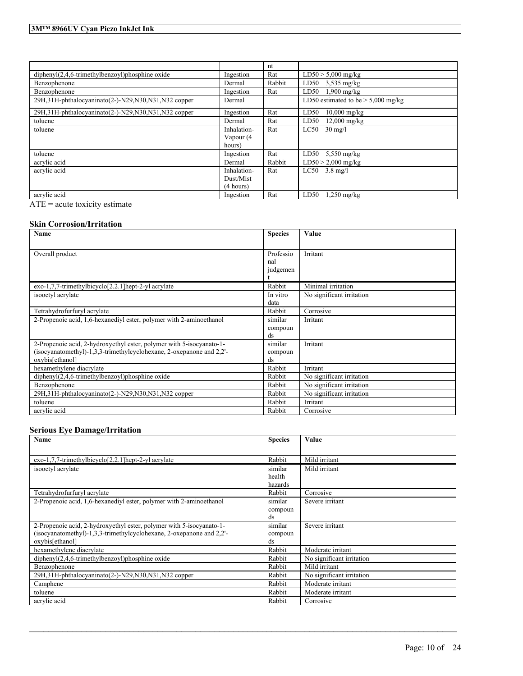|                                                         |             | nt     |                                      |
|---------------------------------------------------------|-------------|--------|--------------------------------------|
| $dipheny$ $(2,4,6-trimethylbenzov1)phosphine oxide$     | Ingestion   | Rat    | $LD50 > 5,000$ mg/kg                 |
| Benzophenone                                            | Dermal      | Rabbit | LD50 $3,535$ mg/kg                   |
| Benzophenone                                            | Ingestion   | Rat    | $1,900$ mg/kg<br>LD50                |
| 29H, 31H-phthalocyaninato(2-)-N29, N30, N31, N32 copper | Dermal      |        | LD50 estimated to be $>$ 5,000 mg/kg |
| 29H, 31H-phthalocyaninato(2-)-N29, N30, N31, N32 copper | Ingestion   | Rat    | LD50<br>$10,000$ mg/kg               |
| toluene                                                 | Dermal      | Rat    | $12,000$ mg/kg<br>LD50               |
| toluene                                                 | Inhalation- | Rat    | LC50<br>$30 \text{ mg/l}$            |
|                                                         | Vapour (4   |        |                                      |
|                                                         | hours)      |        |                                      |
| toluene                                                 | Ingestion   | Rat    | LD50<br>$5,550$ mg/kg                |
| acrylic acid                                            | Dermal      | Rabbit | $LD50 > 2,000$ mg/kg                 |
| acrylic acid                                            | Inhalation- | Rat    | $LC50$ 3.8 mg/l                      |
|                                                         | Dust/Mist   |        |                                      |
|                                                         | (4 hours)   |        |                                      |
| acrylic acid                                            | Ingestion   | Rat    | LD50<br>$1,250$ mg/kg                |

ATE = acute toxicity estimate

# **Skin Corrosion/Irritation**

| Name                                                                 | <b>Species</b> | Value                     |
|----------------------------------------------------------------------|----------------|---------------------------|
|                                                                      |                |                           |
| Overall product                                                      | Professio      | Irritant                  |
|                                                                      | nal            |                           |
|                                                                      | judgemen       |                           |
|                                                                      |                |                           |
| $exo-1,7,7-$ trimethylbicyclo $[2.2.1]$ hept-2-yl acrylate           | Rabbit         | Minimal irritation        |
| isooctyl acrylate                                                    | In vitro       | No significant irritation |
|                                                                      | data           |                           |
| Tetrahydrofurfuryl acrylate                                          | Rabbit         | Corrosive                 |
| 2-Propenoic acid, 1,6-hexanediyl ester, polymer with 2-aminoethanol  | similar        | Irritant                  |
|                                                                      | compoun        |                           |
|                                                                      | ds             |                           |
| 2-Propenoic acid, 2-hydroxyethyl ester, polymer with 5-isocyanato-1- | similar        | Irritant                  |
| (isocyanatomethyl)-1,3,3-trimethylcyclohexane, 2-oxepanone and 2,2'- | compoun        |                           |
| oxybis[ethanol]                                                      | ds             |                           |
| hexamethylene diacrylate                                             | Rabbit         | Irritant                  |
| $diphenyl(2,4,6-trimethylbenzoyl)phosphine oxide$                    | Rabbit         | No significant irritation |
| Benzophenone                                                         | Rabbit         | No significant irritation |
| 29H, 31H-phthalocyaninato(2-)-N29, N30, N31, N32 copper              | Rabbit         | No significant irritation |
| toluene                                                              | Rabbit         | Irritant                  |
| acrylic acid                                                         | Rabbit         | Corrosive                 |

# **Serious Eye Damage/Irritation**

| Name                                                                 | <b>Species</b> | Value                     |
|----------------------------------------------------------------------|----------------|---------------------------|
|                                                                      |                |                           |
| exo-1,7,7-trimethylbicyclo[2.2.1]hept-2-yl acrylate                  | Rabbit         | Mild irritant             |
| isooctyl acrylate                                                    | similar        | Mild irritant             |
|                                                                      | health         |                           |
|                                                                      | hazards        |                           |
| Tetrahydrofurfuryl acrylate                                          | Rabbit         | Corrosive                 |
| 2-Propenoic acid, 1,6-hexanediyl ester, polymer with 2-aminoethanol  | similar        | Severe irritant           |
|                                                                      | compoun        |                           |
|                                                                      | ds             |                           |
| 2-Propenoic acid, 2-hydroxyethyl ester, polymer with 5-isocyanato-1- | similar        | Severe irritant           |
| (isocyanatomethyl)-1,3,3-trimethylcyclohexane, 2-oxepanone and 2,2'- | compoun        |                           |
| oxybis[ethanol]                                                      | ds             |                           |
| hexamethylene diacrylate                                             | Rabbit         | Moderate irritant         |
| $diphenyl(2,4,6-trimethylbenzoyl)phosphine oxide$                    | Rabbit         | No significant irritation |
| Benzophenone                                                         | Rabbit         | Mild irritant             |
| 29H, 31H-phthalocyaninato(2-)-N29, N30, N31, N32 copper              | Rabbit         | No significant irritation |
| Camphene                                                             | Rabbit         | Moderate irritant         |
| toluene                                                              | Rabbit         | Moderate irritant         |
| acrylic acid                                                         | Rabbit         | Corrosive                 |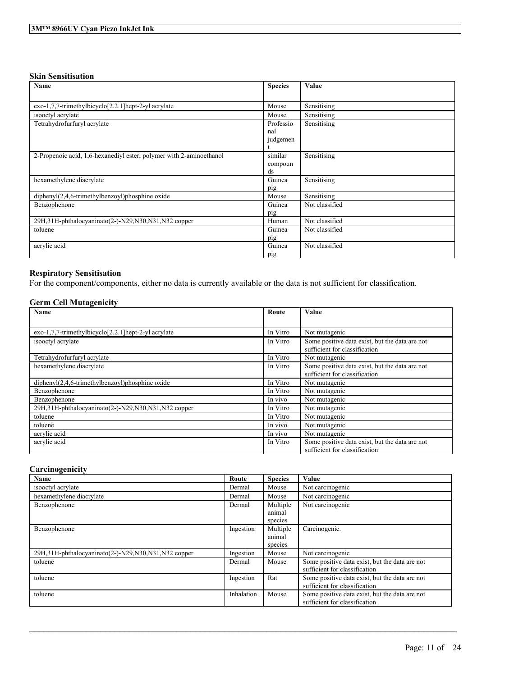# **Skin Sensitisation**

| Name                                                                | <b>Species</b> | Value          |
|---------------------------------------------------------------------|----------------|----------------|
|                                                                     |                |                |
| $exo-1,7,7-$ trimethylbicyclo $[2.2.1]$ hept-2-yl acrylate          | Mouse          | Sensitising    |
| isooctyl acrylate                                                   | Mouse          | Sensitising    |
| Tetrahydrofurfuryl acrylate                                         | Professio      | Sensitising    |
|                                                                     | nal            |                |
|                                                                     | judgemen       |                |
|                                                                     |                |                |
| 2-Propenoic acid, 1,6-hexanediyl ester, polymer with 2-aminoethanol | similar        | Sensitising    |
|                                                                     | compoun        |                |
|                                                                     | ds             |                |
| hexamethylene diacrylate                                            | Guinea         | Sensitising    |
|                                                                     | pig            |                |
| diphenyl(2,4,6-trimethylbenzoyl)phosphine oxide                     | Mouse          | Sensitising    |
| Benzophenone                                                        | Guinea         | Not classified |
|                                                                     | pig            |                |
| 29H, 31H-phthalocyaninato(2-)-N29, N30, N31, N32 copper             | Human          | Not classified |
| toluene                                                             | Guinea         | Not classified |
|                                                                     | pig            |                |
| acrylic acid                                                        | Guinea         | Not classified |
|                                                                     | pig            |                |

# **Respiratory Sensitisation**

For the component/components, either no data is currently available or the data is not sufficient for classification.

# **Germ Cell Mutagenicity**

| Name                                                                | Route    | Value                                                                           |
|---------------------------------------------------------------------|----------|---------------------------------------------------------------------------------|
|                                                                     |          |                                                                                 |
| $exo-1,7,7-$ trimethylbicyclo <sup>[2.2.1]</sup> hept-2-yl acrylate | In Vitro | Not mutagenic                                                                   |
| isooctyl acrylate                                                   | In Vitro | Some positive data exist, but the data are not<br>sufficient for classification |
| Tetrahydrofurfuryl acrylate                                         | In Vitro | Not mutagenic                                                                   |
| hexamethylene diacrylate                                            | In Vitro | Some positive data exist, but the data are not                                  |
|                                                                     |          | sufficient for classification                                                   |
| $dipheny I(2,4,6-trimethylbenzoyl)phosphine oxide$                  | In Vitro | Not mutagenic                                                                   |
| Benzophenone                                                        | In Vitro | Not mutagenic                                                                   |
| Benzophenone                                                        | In vivo  | Not mutagenic                                                                   |
| 29H, 31H-phthalocyaninato(2-)-N29, N30, N31, N32 copper             | In Vitro | Not mutagenic                                                                   |
| toluene                                                             | In Vitro | Not mutagenic                                                                   |
| toluene                                                             | In vivo  | Not mutagenic                                                                   |
| acrylic acid                                                        | In vivo  | Not mutagenic                                                                   |
| acrylic acid                                                        | In Vitro | Some positive data exist, but the data are not<br>sufficient for classification |

### **Carcinogenicity**

| Name                                                    | Route      | <b>Species</b> | Value                                                                           |
|---------------------------------------------------------|------------|----------------|---------------------------------------------------------------------------------|
| isooctyl acrylate                                       | Dermal     | Mouse          | Not carcinogenic                                                                |
| hexamethylene diacrylate                                | Dermal     | Mouse          | Not carcinogenic                                                                |
| Benzophenone                                            | Dermal     | Multiple       | Not carcinogenic                                                                |
|                                                         |            | animal         |                                                                                 |
|                                                         |            | species        |                                                                                 |
| Benzophenone                                            | Ingestion  | Multiple       | Carcinogenic.                                                                   |
|                                                         |            | animal         |                                                                                 |
|                                                         |            | species        |                                                                                 |
| 29H, 31H-phthalocyaninato(2-)-N29, N30, N31, N32 copper | Ingestion  | Mouse          | Not carcinogenic                                                                |
| toluene                                                 | Dermal     | Mouse          | Some positive data exist, but the data are not<br>sufficient for classification |
| toluene                                                 | Ingestion  | Rat            | Some positive data exist, but the data are not<br>sufficient for classification |
| toluene                                                 | Inhalation | Mouse          | Some positive data exist, but the data are not<br>sufficient for classification |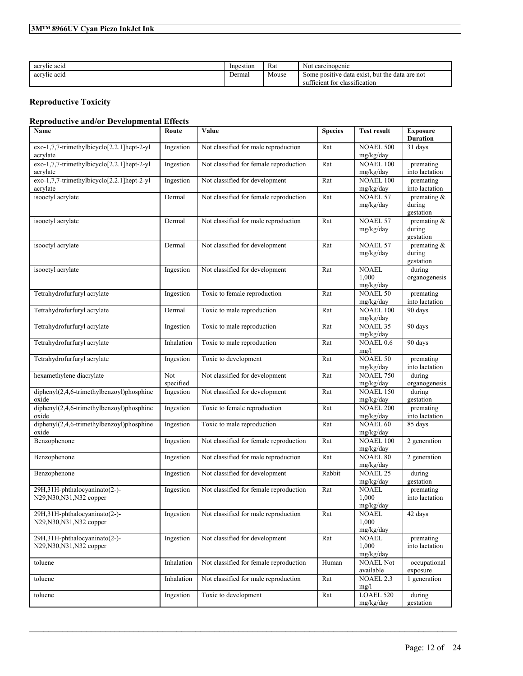# **3M™ 8966UV Cyan Piezo InkJet Ink**

| acrylic acid | Ingestion | Rat   | Not.<br>carcinogenic                                                                                      |
|--------------|-----------|-------|-----------------------------------------------------------------------------------------------------------|
| acrylic acid | Dermal    | Mouse | e data exist.<br>. but the<br>data are not<br>Some positive<br>$\sim$<br>classification<br>sufficient for |

# **Reproductive Toxicity**

# **Reproductive and/or Developmental Effects**

| Name                                                       | Route             | Value                                  | <b>Species</b> | <b>Test result</b>                    | <b>Exposure</b><br><b>Duration</b>    |
|------------------------------------------------------------|-------------------|----------------------------------------|----------------|---------------------------------------|---------------------------------------|
| exo-1,7,7-trimethylbicyclo[2.2.1]hept-2-yl<br>acrylate     | Ingestion         | Not classified for male reproduction   | Rat            | <b>NOAEL 500</b><br>mg/kg/day         | 31 days                               |
| exo-1,7,7-trimethylbicyclo[2.2.1]hept-2-yl<br>acrylate     | Ingestion         | Not classified for female reproduction | Rat            | <b>NOAEL 100</b><br>mg/kg/day         | premating<br>into lactation           |
| $exo-1,7,7-trimethylbicyclo[2.2.1]hept-2-yl$<br>acrylate   | Ingestion         | Not classified for development         | Rat            | <b>NOAEL 100</b><br>mg/kg/day         | premating<br>into lactation           |
| isooctyl acrylate                                          | Dermal            | Not classified for female reproduction | Rat            | <b>NOAEL 57</b><br>mg/kg/day          | premating $\&$<br>during<br>gestation |
| isooctyl acrylate                                          | Dermal            | Not classified for male reproduction   | Rat            | <b>NOAEL 57</b><br>mg/kg/day          | premating $\&$<br>during<br>gestation |
| isooctyl acrylate                                          | Dermal            | Not classified for development         | Rat            | <b>NOAEL 57</b><br>mg/kg/day          | premating &<br>during<br>gestation    |
| isooctyl acrylate                                          | Ingestion         | Not classified for development         | Rat            | <b>NOAEL</b><br>1,000<br>mg/kg/day    | during<br>organogenesis               |
| Tetrahydrofurfuryl acrylate                                | Ingestion         | Toxic to female reproduction           | Rat            | $NOAEL$ 50<br>mg/kg/day               | premating<br>into lactation           |
| Tetrahydrofurfuryl acrylate                                | Dermal            | Toxic to male reproduction             | Rat            | <b>NOAEL 100</b><br>mg/kg/day         | 90 days                               |
| Tetrahydrofurfuryl acrylate                                | Ingestion         | Toxic to male reproduction             | Rat            | <b>NOAEL 35</b><br>mg/kg/day          | 90 days                               |
| Tetrahydrofurfuryl acrylate                                | Inhalation        | Toxic to male reproduction             | Rat            | NOAEL 0.6<br>mg/l                     | 90 days                               |
| Tetrahydrofurfuryl acrylate                                | Ingestion         | Toxic to development                   | Rat            | <b>NOAEL 50</b><br>mg/kg/day          | premating<br>into lactation           |
| hexamethylene diacrylate                                   | Not<br>specified. | Not classified for development         | Rat            | <b>NOAEL 750</b><br>mg/kg/day         | during<br>organogenesis               |
| diphenyl(2,4,6-trimethylbenzoyl)phosphine<br>oxide         | Ingestion         | Not classified for development         | Rat            | <b>NOAEL 150</b><br>mg/kg/day         | during<br>gestation                   |
| $diphenyl(2,4,6-trimethylbenzoyl)phosphine$<br>oxide       | Ingestion         | Toxic to female reproduction           | Rat            | <b>NOAEL 200</b><br>mg/kg/day         | premating<br>into lactation           |
| diphenyl(2,4,6-trimethylbenzoyl)phosphine<br>oxide         | Ingestion         | Toxic to male reproduction             | Rat            | <b>NOAEL 60</b><br>mg/kg/day          | 85 days                               |
| Benzophenone                                               | Ingestion         | Not classified for female reproduction | Rat            | NOAEL 100<br>mg/kg/day                | 2 generation                          |
| Benzophenone                                               | Ingestion         | Not classified for male reproduction   | Rat            | <b>NOAEL 80</b><br>mg/kg/day          | 2 generation                          |
| Benzophenone                                               | Ingestion         | Not classified for development         | Rabbit         | <b>NOAEL 25</b><br>mg/kg/day          | during<br>gestation                   |
| 29H,31H-phthalocyaninato(2-)-<br>N29, N30, N31, N32 copper | Ingestion         | Not classified for female reproduction | Rat            | <b>NOAEL</b><br>1,000<br>mg/kg/day    | premating<br>into lactation           |
| 29H,31H-phthalocyaninato(2-)-<br>N29, N30, N31, N32 copper | Ingestion         | Not classified for male reproduction   | Rat            | <b>NOAEL</b><br>1,000<br>mg/kg/day    | 42 days                               |
| 29H,31H-phthalocyaninato(2-)-<br>N29, N30, N31, N32 copper | Ingestion         | Not classified for development         | Rat            | <b>NOAEL</b><br>1,000<br>mg/kg/day    | premating<br>into lactation           |
| toluene                                                    | Inhalation        | Not classified for female reproduction | Human          | <b>NOAEL Not</b><br>available         | occupational<br>exposure              |
| toluene                                                    | Inhalation        | Not classified for male reproduction   | Rat            | $\overline{\text{NOAEL}}$ 2.3<br>mg/l | 1 generation                          |
| toluene                                                    | Ingestion         | Toxic to development                   | Rat            | <b>LOAEL 520</b><br>mg/kg/day         | during<br>gestation                   |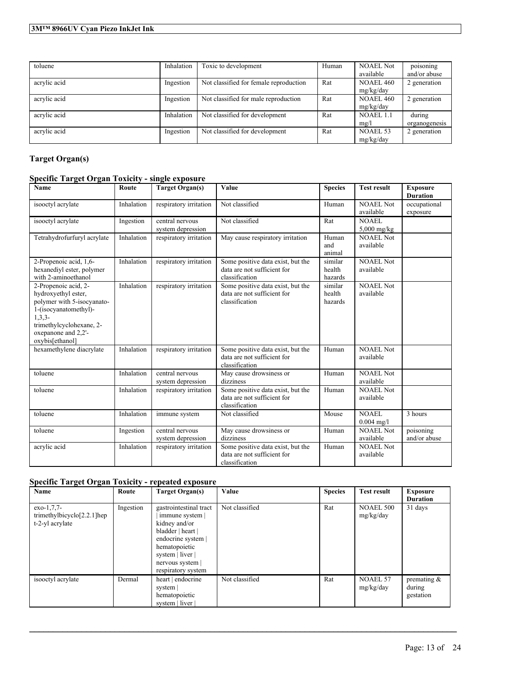| toluene      | Inhalation | Toxic to development                   | Human | <b>NOAEL Not</b><br>available | poisoning<br>and/or abuse |
|--------------|------------|----------------------------------------|-------|-------------------------------|---------------------------|
| acrylic acid | Ingestion  | Not classified for female reproduction | Rat   | NOAEL 460<br>mg/kg/day        | 2 generation              |
| acrylic acid | Ingestion  | Not classified for male reproduction   | Rat   | NOAEL 460<br>mg/kg/day        | 2 generation              |
| acrylic acid | Inhalation | Not classified for development         | Rat   | NOAEL 1.1<br>mg/l             | during<br>organogenesis   |
| acrylic acid | Ingestion  | Not classified for development         | Rat   | NOAEL 53<br>mg/kg/day         | 2 generation              |

# **Target Organ(s)**

# **Specific Target Organ Toxicity - single exposure**

| <b>Name</b>                                                                                                                                                                            | Route      | <b>Target Organ(s)</b>               | Value                                                                              | <b>Species</b>               | <b>Test result</b>            | <b>Exposure</b><br><b>Duration</b> |
|----------------------------------------------------------------------------------------------------------------------------------------------------------------------------------------|------------|--------------------------------------|------------------------------------------------------------------------------------|------------------------------|-------------------------------|------------------------------------|
| isooctyl acrylate                                                                                                                                                                      | Inhalation | respiratory irritation               | Not classified                                                                     | Human                        | <b>NOAEL Not</b><br>available | occupational<br>exposure           |
| isooctyl acrylate                                                                                                                                                                      | Ingestion  | central nervous<br>system depression | Not classified                                                                     | Rat                          | NOAEL<br>$5,000$ mg/kg        |                                    |
| Tetrahydrofurfuryl acrylate                                                                                                                                                            | Inhalation | respiratory irritation               | May cause respiratory irritation                                                   | Human<br>and<br>animal       | <b>NOAEL Not</b><br>available |                                    |
| 2-Propenoic acid, 1,6-<br>hexanediyl ester, polymer<br>with 2-aminoethanol                                                                                                             | Inhalation | respiratory irritation               | Some positive data exist, but the<br>data are not sufficient for<br>classification | similar<br>health<br>hazards | <b>NOAEL Not</b><br>available |                                    |
| 2-Propenoic acid, 2-<br>hydroxyethyl ester,<br>polymer with 5-isocyanato-<br>1-(isocyanatomethyl)-<br>$1, 3, 3-$<br>trimethylcyclohexane, 2-<br>oxepanone and 2,2'-<br>oxybis[ethanol] | Inhalation | respiratory irritation               | Some positive data exist, but the<br>data are not sufficient for<br>classification | similar<br>health<br>hazards | <b>NOAEL Not</b><br>available |                                    |
| hexamethylene diacrylate                                                                                                                                                               | Inhalation | respiratory irritation               | Some positive data exist, but the<br>data are not sufficient for<br>classification | Human                        | <b>NOAEL Not</b><br>available |                                    |
| toluene                                                                                                                                                                                | Inhalation | central nervous<br>system depression | May cause drowsiness or<br>dizziness                                               | Human                        | NOAEL Not<br>available        |                                    |
| toluene                                                                                                                                                                                | Inhalation | respiratory irritation               | Some positive data exist, but the<br>data are not sufficient for<br>classification | Human                        | <b>NOAEL Not</b><br>available |                                    |
| toluene                                                                                                                                                                                | Inhalation | immune system                        | Not classified                                                                     | Mouse                        | <b>NOAEL</b><br>$0.004$ mg/l  | 3 hours                            |
| toluene                                                                                                                                                                                | Ingestion  | central nervous<br>system depression | May cause drowsiness or<br>dizziness                                               | Human                        | NOAEL Not<br>available        | poisoning<br>and/or abuse          |
| acrylic acid                                                                                                                                                                           | Inhalation | respiratory irritation               | Some positive data exist, but the<br>data are not sufficient for<br>classification | Human                        | NOAEL Not<br>available        |                                    |

# **Specific Target Organ Toxicity - repeated exposure**

| Name                                                              | Route     | <b>Target Organ(s)</b>                                                                                                                                                             | Value          | <b>Species</b> | <b>Test result</b>            | <b>Exposure</b><br><b>Duration</b>    |
|-------------------------------------------------------------------|-----------|------------------------------------------------------------------------------------------------------------------------------------------------------------------------------------|----------------|----------------|-------------------------------|---------------------------------------|
| $exo-1.7.7-$<br>trimethylbicyclo $[2.2.1]$ hep<br>t-2-yl acrylate | Ingestion | gastrointestinal tract<br>immune system  <br>kidney and/or<br>bladder   heart  <br>endocrine system  <br>hematopoietic<br>system   liver  <br>nervous system<br>respiratory system | Not classified | Rat            | <b>NOAEL 500</b><br>mg/kg/day | 31 days                               |
| isooctyl acrylate                                                 | Dermal    | heart   endocrine<br>system  <br>hematopoietic<br>system   liver                                                                                                                   | Not classified | Rat            | <b>NOAEL 57</b><br>mg/kg/day  | premating $\&$<br>during<br>gestation |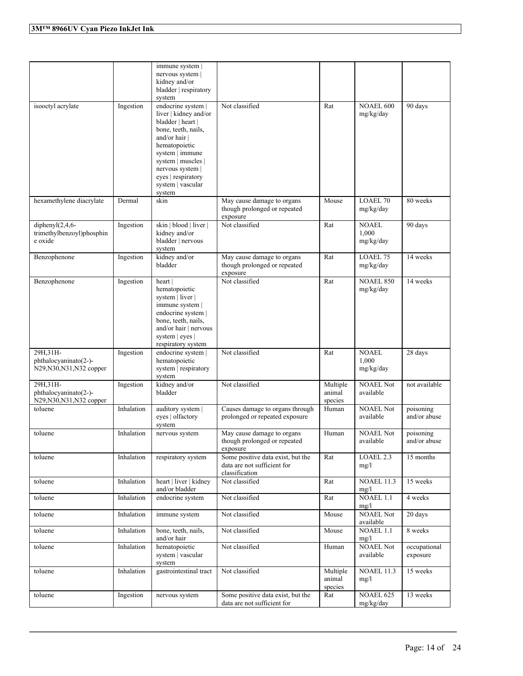|                                                                             |            | immune system<br>nervous system<br>kidney and/or<br>bladder   respiratory<br>system                                                                                                                                                       |                                                                                    |                               |                                    |                           |
|-----------------------------------------------------------------------------|------------|-------------------------------------------------------------------------------------------------------------------------------------------------------------------------------------------------------------------------------------------|------------------------------------------------------------------------------------|-------------------------------|------------------------------------|---------------------------|
| isooctyl acrylate                                                           | Ingestion  | endocrine system<br>liver   kidney and/or<br>bladder   heart  <br>bone, teeth, nails,<br>and/or hair  <br>hematopoietic<br>system   immune<br>system   muscles  <br>nervous system  <br>eyes   respiratory<br>system   vascular<br>system | Not classified                                                                     | Rat                           | <b>NOAEL 600</b><br>mg/kg/day      | 90 days                   |
| hexamethylene diacrylate                                                    | Dermal     | skin                                                                                                                                                                                                                                      | May cause damage to organs<br>though prolonged or repeated<br>exposure             | Mouse                         | <b>LOAEL 70</b><br>mg/kg/day       | 80 weeks                  |
| diphenyl $(2,4,6$ -<br>trimethylbenzoyl)phosphin<br>e oxide                 | Ingestion  | skin   blood   liver  <br>kidney and/or<br>bladder   nervous<br>system                                                                                                                                                                    | Not classified                                                                     | Rat                           | <b>NOAEL</b><br>1.000<br>mg/kg/day | 90 days                   |
| Benzophenone                                                                | Ingestion  | kidney and/or<br>bladder                                                                                                                                                                                                                  | May cause damage to organs<br>though prolonged or repeated<br>exposure             | Rat                           | LOAEL 75<br>mg/kg/day              | 14 weeks                  |
| Benzophenone                                                                | Ingestion  | heart<br>hematopoietic<br>system   liver  <br>immune system  <br>endocrine system  <br>bone, teeth, nails,<br>and/or hair   nervous<br>system   eyes  <br>respiratory system                                                              | Not classified                                                                     | Rat                           | <b>NOAEL 850</b><br>mg/kg/day      | 14 weeks                  |
| 29H, 31H-<br>phthalocyaninato(2-)-<br>N29, N30, N31, N32 copper             | Ingestion  | endocrine system  <br>hematopoietic<br>system   respiratory<br>system                                                                                                                                                                     | Not classified                                                                     | Rat                           | <b>NOAEL</b><br>1,000<br>mg/kg/day | 28 days                   |
| 29H <sub>.31</sub> H-<br>phthalocyaninato(2-)-<br>N29, N30, N31, N32 copper | Ingestion  | kidney and/or<br>bladder                                                                                                                                                                                                                  | Not classified                                                                     | Multiple<br>animal<br>species | <b>NOAEL Not</b><br>available      | not available             |
| toluene                                                                     | Inhalation | auditory system  <br>eyes   olfactory<br>system                                                                                                                                                                                           | Causes damage to organs through<br>prolonged or repeated exposure                  | Human                         | <b>NOAEL Not</b><br>available      | poisoning<br>and/or abuse |
| toluene                                                                     | Inhalation | nervous system                                                                                                                                                                                                                            | May cause damage to organs<br>though prolonged or repeated<br>exposure             | Human                         | <b>NOAEL Not</b><br>available      | poisoning<br>and/or abuse |
| toluene                                                                     | Inhalation | respiratory system                                                                                                                                                                                                                        | Some positive data exist, but the<br>data are not sufficient for<br>classification | Rat                           | LOAEL <sub>2.3</sub><br>mg/l       | 15 months                 |
| toluene                                                                     | Inhalation | heart   liver   kidney<br>and/or bladder                                                                                                                                                                                                  | Not classified                                                                     | Rat                           | <b>NOAEL 11.3</b><br>mg/l          | 15 weeks                  |
| toluene                                                                     | Inhalation | endocrine system                                                                                                                                                                                                                          | Not classified                                                                     | Rat                           | $NOAEL$ 1.1<br>mg/l                | 4 weeks                   |
| toluene                                                                     | Inhalation | immune system                                                                                                                                                                                                                             | Not classified                                                                     | Mouse                         | <b>NOAEL Not</b><br>available      | 20 days                   |
| toluene                                                                     | Inhalation | bone, teeth, nails,<br>and/or hair                                                                                                                                                                                                        | Not classified                                                                     | Mouse                         | NOAEL 1.1<br>mg/l                  | 8 weeks                   |
| toluene                                                                     | Inhalation | hematopoietic<br>system   vascular<br>system                                                                                                                                                                                              | Not classified                                                                     | Human                         | <b>NOAEL Not</b><br>available      | occupational<br>exposure  |
| toluene                                                                     | Inhalation | gastrointestinal tract                                                                                                                                                                                                                    | Not classified                                                                     | Multiple<br>animal<br>species | <b>NOAEL 11.3</b><br>mg/l          | 15 weeks                  |
| toluene                                                                     | Ingestion  | nervous system                                                                                                                                                                                                                            | Some positive data exist, but the<br>data are not sufficient for                   | $\operatorname{Rat}$          | NOAEL 625<br>mg/kg/day             | 13 weeks                  |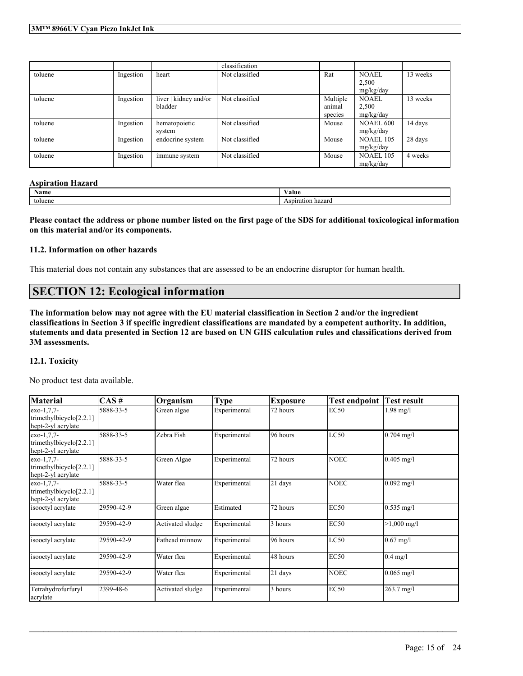|         |           |                       | classification |          |                  |          |
|---------|-----------|-----------------------|----------------|----------|------------------|----------|
| toluene | Ingestion | heart                 | Not classified | Rat      | NOAEL            | 13 weeks |
|         |           |                       |                |          | 2.500            |          |
|         |           |                       |                |          | mg/kg/day        |          |
| toluene | Ingestion | liver   kidney and/or | Not classified | Multiple | <b>NOAEL</b>     | 13 weeks |
|         |           | bladder               |                | animal   | 2.500            |          |
|         |           |                       |                | species  | mg/kg/day        |          |
| toluene | Ingestion | hematopoietic         | Not classified | Mouse    | <b>NOAEL 600</b> | 14 days  |
|         |           | system                |                |          | mg/kg/day        |          |
| toluene | Ingestion | endocrine system      | Not classified | Mouse    | <b>NOAEL 105</b> | 28 days  |
|         |           |                       |                |          | mg/kg/day        |          |
| toluene | Ingestion | immune system         | Not classified | Mouse    | <b>NOAEL 105</b> | 4 weeks  |
|         |           |                       |                |          | mg/kg/day        |          |

#### **Aspiration Hazard**

| $\mathbf{A}$<br>Name | $-1$<br>⁄ alue                            |
|----------------------|-------------------------------------------|
| toluene              | hazard<br>$\alpha$ nirotion<br>Asdifation |

Please contact the address or phone number listed on the first page of the SDS for additional toxicological information **on this material and/or its components.**

#### **11.2. Information on other hazards**

This material does not contain any substances that are assessed to be an endocrine disruptor for human health.

# **SECTION 12: Ecological information**

The information below may not agree with the EU material classification in Section 2 and/or the ingredient classifications in Section 3 if specific ingredient classifications are mandated by a competent authority. In addition, statements and data presented in Section 12 are based on UN GHS calculation rules and classifications derived from **3M assessments.**

### **12.1. Toxicity**

No product test data available.

| <b>Material</b>                                                  | $\overline{CAS}$ # | Organism         | <b>Type</b>  | <b>Exposure</b> | <b>Test endpoint</b> | <b>Test result</b>  |
|------------------------------------------------------------------|--------------------|------------------|--------------|-----------------|----------------------|---------------------|
| $exo-1.7.7-$<br>trimethylbicyclo $[2.2.1]$<br>hept-2-yl acrylate | 5888-33-5          | Green algae      | Experimental | 72 hours        | <b>EC50</b>          | $1.98 \text{ mg}/1$ |
| $exo-1.7.7-$<br>trimethylbicyclo[2.2.1]<br>hept-2-yl acrylate    | 5888-33-5          | Zebra Fish       | Experimental | 96 hours        | LC50                 | $0.704$ mg/l        |
| $exo-1,7,7-$<br>trimethylbicyclo[2.2.1]<br>hept-2-yl acrylate    | 5888-33-5          | Green Algae      | Experimental | 72 hours        | <b>NOEC</b>          | $0.405$ mg/l        |
| $exo-1.7.7-$<br>trimethylbicyclo[2.2.1]<br>hept-2-yl acrylate    | 5888-33-5          | Water flea       | Experimental | 21 days         | <b>NOEC</b>          | $0.092$ mg/l        |
| isooctyl acrylate                                                | 29590-42-9         | Green algae      | Estimated    | 72 hours        | <b>EC50</b>          | $0.535$ mg/l        |
| isooctyl acrylate                                                | 29590-42-9         | Activated sludge | Experimental | 3 hours         | <b>EC50</b>          | $>1,000$ mg/l       |
| isooctyl acrylate                                                | 29590-42-9         | Fathead minnow   | Experimental | 96 hours        | LC50                 | $0.67$ mg/l         |
| isooctyl acrylate                                                | 29590-42-9         | Water flea       | Experimental | 48 hours        | <b>EC50</b>          | $0.4$ mg/l          |
| isooctyl acrylate                                                | 29590-42-9         | Water flea       | Experimental | 21 days         | <b>NOEC</b>          | $0.065$ mg/l        |
| Tetrahydrofurfuryl<br>acrylate                                   | 2399-48-6          | Activated sludge | Experimental | 3 hours         | <b>EC50</b>          | 263.7 mg/l          |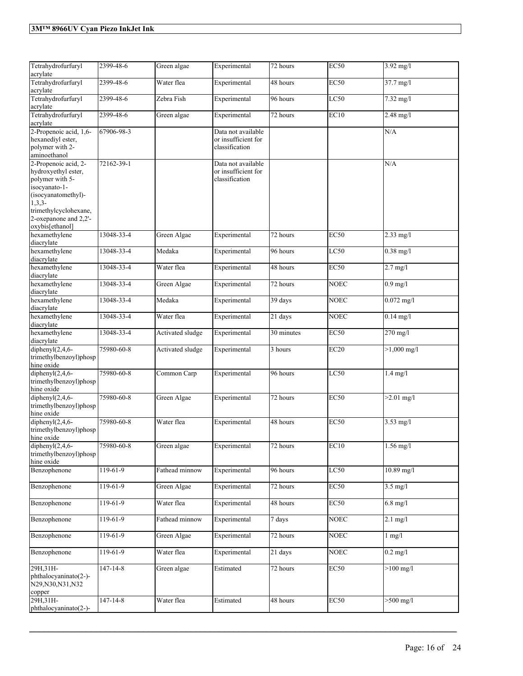| Tetrahydrofurfuryl<br>acrylate                                                                                                                                                          | 2399-48-6      | Green algae      | Experimental                                                | 72 hours   | EC50             | $3.92 \text{ mg}/1$  |
|-----------------------------------------------------------------------------------------------------------------------------------------------------------------------------------------|----------------|------------------|-------------------------------------------------------------|------------|------------------|----------------------|
| Tetrahydrofurfuryl<br>acrylate                                                                                                                                                          | 2399-48-6      | Water flea       | Experimental                                                | 48 hours   | <b>EC50</b>      | 37.7 mg/l            |
| Tetrahydrofurfuryl<br>acrylate                                                                                                                                                          | 2399-48-6      | Zebra Fish       | Experimental                                                | 96 hours   | LC50             | $7.32$ mg/l          |
| Tetrahydrofurfuryl<br>acrylate                                                                                                                                                          | 2399-48-6      | Green algae      | Experimental                                                | 72 hours   | EC10             | $2.48$ mg/l          |
| 2-Propenoic acid, 1,6-<br>hexanediyl ester,<br>polymer with 2-<br>aminoethanol                                                                                                          | 67906-98-3     |                  | Data not available<br>or insufficient for<br>classification |            |                  | N/A                  |
| 2-Propenoic acid, 2-<br>hydroxyethyl ester,<br>polymer with 5-<br>isocyanato-1-<br>(isocyanatomethyl)-<br>$1,3,3-$<br>trimethylcyclohexane,<br>2-oxepanone and 2,2'-<br>oxybis[ethanol] | 72162-39-1     |                  | Data not available<br>or insufficient for<br>classification |            |                  | N/A                  |
| hexamethylene<br>diacrylate                                                                                                                                                             | 13048-33-4     | Green Algae      | Experimental                                                | 72 hours   | <b>EC50</b>      | $2.33$ mg/l          |
| hexamethylene<br>diacrylate                                                                                                                                                             | 13048-33-4     | Medaka           | Experimental                                                | 96 hours   | LC50             | $0.38$ mg/l          |
| hexamethylene<br>diacrylate                                                                                                                                                             | 13048-33-4     | Water flea       | Experimental                                                | 48 hours   | <b>EC50</b>      | $2.7$ mg/l           |
| hexamethylene<br>diacrylate                                                                                                                                                             | 13048-33-4     | Green Algae      | Experimental                                                | 72 hours   | <b>NOEC</b>      | $0.9$ mg/l           |
| hexamethylene<br>diacrylate                                                                                                                                                             | 13048-33-4     | Medaka           | Experimental                                                | 39 days    | <b>NOEC</b>      | $0.072$ mg/l         |
| hexamethylene<br>diacrylate                                                                                                                                                             | 13048-33-4     | Water flea       | Experimental                                                | 21 days    | <b>NOEC</b>      | $0.14$ mg/l          |
| hexamethylene<br>diacrylate                                                                                                                                                             | 13048-33-4     | Activated sludge | Experimental                                                | 30 minutes | <b>EC50</b>      | 270 mg/l             |
| diphenyl $(2, 4, 6$ -<br>trimethylbenzoyl)phosp<br>hine oxide                                                                                                                           | 75980-60-8     | Activated sludge | Experimental                                                | 3 hours    | EC20             | $>1,000$ mg/l        |
| diphenyl $(2,4,6$ -<br>trimethylbenzoyl)phosp<br>hine oxide                                                                                                                             | 75980-60-8     | Common Carp      | Experimental                                                | 96 hours   | LC50             | $1.4$ mg/l           |
| diphenyl $(2,4,6$ -<br>trimethylbenzoyl)phosp<br>hine oxide                                                                                                                             | 75980-60-8     | Green Algae      | Experimental                                                | 72 hours   | EC50             | $>2.01 \text{ mg/l}$ |
| diphenyl $(2,4,6$ -<br>trimethylbenzoyl)phosp<br>hine oxide                                                                                                                             | 75980-60-8     | Water flea       | Experimental                                                | 48 hours   | <b>EC50</b>      | $3.53$ mg/l          |
| diphenyl $(2,4,6-$<br>trimethylbenzoyl)phosp<br>hine oxide                                                                                                                              | 75980-60-8     | Green algae      | Experimental                                                | 72 hours   | EC <sub>10</sub> | 1.56 mg/l            |
| Benzophenone                                                                                                                                                                            | $119-61-9$     | Fathead minnow   | Experimental                                                | 96 hours   | LC50             | $10.89$ mg/l         |
| Benzophenone                                                                                                                                                                            | 119-61-9       | Green Algae      | Experimental                                                | 72 hours   | <b>EC50</b>      | $3.5$ mg/l           |
| Benzophenone                                                                                                                                                                            | 119-61-9       | Water flea       | Experimental                                                | 48 hours   | <b>EC50</b>      | $6.8$ mg/l           |
| Benzophenone                                                                                                                                                                            | 119-61-9       | Fathead minnow   | Experimental                                                | 7 days     | <b>NOEC</b>      | $2.1$ mg/l           |
| Benzophenone                                                                                                                                                                            | $119-61-9$     | Green Algae      | Experimental                                                | 72 hours   | <b>NOEC</b>      | $1 \text{ mg}/1$     |
| Benzophenone                                                                                                                                                                            | 119-61-9       | Water flea       | Experimental                                                | 21 days    | <b>NOEC</b>      | $0.2$ mg/l           |
| 29H, 31H-<br>phthalocyaninato(2-)-<br>N29, N30, N31, N32<br>copper                                                                                                                      | 147-14-8       | Green algae      | Estimated                                                   | 72 hours   | EC50             | $>100 \text{ mg/l}$  |
| 29H, 31H-<br>phthalocyaninato(2-)-                                                                                                                                                      | $147 - 14 - 8$ | Water flea       | Estimated                                                   | 48 hours   | EC50             | $>500$ mg/l          |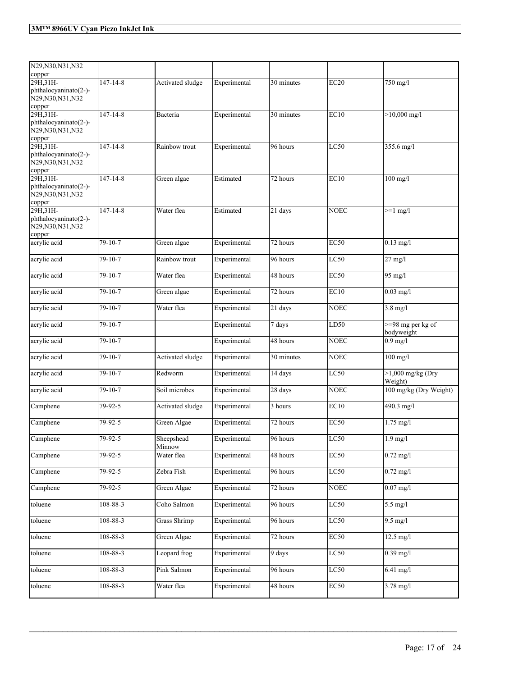| N29, N30, N31, N32                                                 |                |                      |              |            |             |                                           |
|--------------------------------------------------------------------|----------------|----------------------|--------------|------------|-------------|-------------------------------------------|
| copper<br>29H, 31H-                                                | $147 - 14 - 8$ | Activated sludge     | Experimental | 30 minutes | EC20        | 750 mg/l                                  |
| phthalocyaninato(2-)-<br>N29, N30, N31, N32                        |                |                      |              |            |             |                                           |
| copper                                                             |                |                      |              |            |             |                                           |
| 29H, 31H-<br>phthalocyaninato(2-)-<br>N29, N30, N31, N32<br>copper | $147 - 14 - 8$ | Bacteria             | Experimental | 30 minutes | EC10        | $>10,000$ mg/l                            |
| 29H, 31H-                                                          | $147 - 14 - 8$ | Rainbow trout        | Experimental | 96 hours   | LC50        | 355.6 mg/l                                |
| phthalocyaninato(2-)-<br>N29, N30, N31, N32<br>copper              |                |                      |              |            |             |                                           |
| 29H.31H-<br>phthalocyaninato(2-)-<br>N29, N30, N31, N32<br>copper  | $147 - 14 - 8$ | Green algae          | Estimated    | 72 hours   | EC10        | $100$ mg/l                                |
| 29H, 31H-<br>phthalocyaninato(2-)-<br>N29, N30, N31, N32<br>copper | $147 - 14 - 8$ | Water flea           | Estimated    | 21 days    | <b>NOEC</b> | $>=1$ mg/l                                |
| acrylic acid                                                       | 79-10-7        | Green algae          | Experimental | 72 hours   | <b>EC50</b> | $0.13$ mg/l                               |
| acrylic acid                                                       | 79-10-7        | Rainbow trout        | Experimental | 96 hours   | LC50        | $27$ mg/l                                 |
| acrylic acid                                                       | 79-10-7        | Water flea           | Experimental | 48 hours   | <b>EC50</b> | $95 \text{ mg/l}$                         |
| acrylic acid                                                       | $79-10-7$      | Green algae          | Experimental | 72 hours   | EC10        | $0.03$ mg/l                               |
| acrylic acid                                                       | 79-10-7        | Water flea           | Experimental | 21 days    | <b>NOEC</b> | $3.8$ mg/l                                |
| acrylic acid                                                       | $79 - 10 - 7$  |                      | Experimental | 7 days     | LD50        | $\frac{98}{9}$ mg per kg of<br>bodyweight |
| acrylic acid                                                       | 79-10-7        |                      | Experimental | 48 hours   | <b>NOEC</b> | $0.9$ mg/l                                |
| acrylic acid                                                       | 79-10-7        | Activated sludge     | Experimental | 30 minutes | <b>NOEC</b> | $100$ mg/l                                |
| acrylic acid                                                       | 79-10-7        | Redworm              | Experimental | 14 days    | LC50        | $>1,000$ mg/kg (Dry<br>Weight)            |
| acrylic acid                                                       | 79-10-7        | Soil microbes        | Experimental | 28 days    | <b>NOEC</b> | 100 mg/kg (Dry Weight)                    |
| Camphene                                                           | 79-92-5        | Activated sludge     | Experimental | 3 hours    | EC10        | 490.3 mg/l                                |
| Camphene                                                           | 79-92-5        | Green Algae          | Experimental | 72 hours   | <b>EC50</b> | $1.75$ mg/l                               |
| Camphene                                                           | 79-92-5        | Sheepshead<br>Minnow | Experimental | 96 hours   | LC50        | $1.9$ mg/l                                |
| Camphene                                                           | $79 - 92 - 5$  | Water flea           | Experimental | 48 hours   | EC50        | $0.72 \text{ mg/l}$                       |
| Camphene                                                           | $79 - 92 - 5$  | Zebra Fish           | Experimental | 96 hours   | LC50        | $0.72 \text{ mg/l}$                       |
| Camphene                                                           | 79-92-5        | Green Algae          | Experimental | 72 hours   | <b>NOEC</b> | $0.07$ mg/l                               |
| toluene                                                            | 108-88-3       | Coho Salmon          | Experimental | 96 hours   | LC50        | $5.5 \text{ mg/l}$                        |
| toluene                                                            | $108 - 88 - 3$ | <b>Grass Shrimp</b>  | Experimental | 96 hours   | LC50        | $9.5$ mg/l                                |
| toluene                                                            | $108 - 88 - 3$ | Green Algae          | Experimental | 72 hours   | EC50        | $12.5 \text{ mg}/l$                       |
| toluene                                                            | $108 - 88 - 3$ | Leopard frog         | Experimental | 9 days     | LC50        | $0.39$ mg/l                               |
| toluene                                                            | 108-88-3       | Pink Salmon          | Experimental | 96 hours   | LC50        | $6.41$ mg/l                               |
| toluene                                                            | $108 - 88 - 3$ | Water flea           | Experimental | 48 hours   | EC50        | $3.78$ mg/l                               |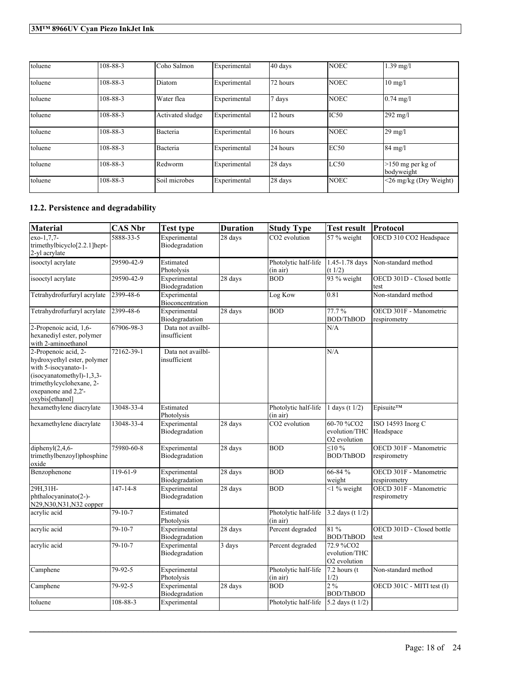| toluene | 108-88-3 | Coho Salmon      | Experimental | 40 days  | <b>NOEC</b>      | $1.39$ mg/l                       |
|---------|----------|------------------|--------------|----------|------------------|-----------------------------------|
| toluene | 108-88-3 | Diatom           | Experimental | 72 hours | <b>NOEC</b>      | $10 \text{ mg/l}$                 |
| toluene | 108-88-3 | Water flea       | Experimental | 7 days   | <b>NOEC</b>      | $0.74 \text{ mg}$ /l              |
| toluene | 108-88-3 | Activated sludge | Experimental | 12 hours | IC <sub>50</sub> | 292 mg/l                          |
| toluene | 108-88-3 | Bacteria         | Experimental | 16 hours | <b>NOEC</b>      | $29 \text{ mg}/l$                 |
| toluene | 108-88-3 | Bacteria         | Experimental | 24 hours | EC50             | $84 \text{ mg}/l$                 |
| toluene | 108-88-3 | Redworm          | Experimental | 28 days  | LC50             | $>150$ mg per kg of<br>bodyweight |
| toluene | 108-88-3 | Soil microbes    | Experimental | 28 days  | <b>NOEC</b>      | $\leq$ 26 mg/kg (Dry Weight)      |

# **12.2. Persistence and degradability**

| Material                                                                                                                                                                       | <b>CAS Nbr</b> | <b>Test type</b>                  | <b>Duration</b> | <b>Study Type</b>                | <b>Test result</b>                                      | Protocol                               |
|--------------------------------------------------------------------------------------------------------------------------------------------------------------------------------|----------------|-----------------------------------|-----------------|----------------------------------|---------------------------------------------------------|----------------------------------------|
| $exo-1,7,7$ -<br>trimethylbicyclo[2.2.1]hept-<br>2-yl acrylate                                                                                                                 | 5888-33-5      | Experimental<br>Biodegradation    | 28 days         | CO <sub>2</sub> evolution        | 57 % weight                                             | OECD 310 CO2 Headspace                 |
| isooctyl acrylate                                                                                                                                                              | 29590-42-9     | Estimated<br>Photolysis           |                 | Photolytic half-life<br>(in air) | 1.45-1.78 days<br>(t 1/2)                               | Non-standard method                    |
| isooctyl acrylate                                                                                                                                                              | 29590-42-9     | Experimental<br>Biodegradation    | 28 days         | <b>BOD</b>                       | 93 % weight                                             | OECD 301D - Closed bottle<br>test      |
| Tetrahydrofurfuryl acrylate                                                                                                                                                    | 2399-48-6      | Experimental<br>Bioconcentration  |                 | Log Kow                          | 0.81                                                    | Non-standard method                    |
| Tetrahydrofurfuryl acrylate                                                                                                                                                    | 2399-48-6      | Experimental<br>Biodegradation    | 28 days         | <b>BOD</b>                       | 77.7%<br>BOD/ThBOD                                      | OECD 301F - Manometric<br>respirometry |
| 2-Propenoic acid, 1,6-<br>hexanediyl ester, polymer<br>with 2-aminoethanol                                                                                                     | 67906-98-3     | Data not availbl-<br>insufficient |                 |                                  | N/A                                                     |                                        |
| 2-Propenoic acid, 2-<br>hydroxyethyl ester, polymer<br>with 5-isocyanato-1-<br>(isocyanatomethyl)-1,3,3-<br>trimethylcyclohexane, 2-<br>oxepanone and 2,2'-<br>oxybis[ethanol] | 72162-39-1     | Data not availbl-<br>insufficient |                 |                                  | N/A                                                     |                                        |
| hexamethylene diacrylate                                                                                                                                                       | 13048-33-4     | Estimated<br>Photolysis           |                 | Photolytic half-life<br>(in air) | 1 days (t $1/2$ )                                       | Episuite™                              |
| hexamethylene diacrylate                                                                                                                                                       | 13048-33-4     | Experimental<br>Biodegradation    | 28 days         | CO <sub>2</sub> evolution        | 60-70 %CO2<br>evolution/THC<br>O <sub>2</sub> evolution | ISO 14593 Inorg C<br>Headspace         |
| diphenyl $(2, 4, 6$ -<br>trimethylbenzoyl)phosphine<br>oxide                                                                                                                   | 75980-60-8     | Experimental<br>Biodegradation    | 28 days         | <b>BOD</b>                       | $\leq 10 \%$<br><b>BOD/ThBOD</b>                        | OECD 301F - Manometric<br>respirometry |
| Benzophenone                                                                                                                                                                   | $119-61-9$     | Experimental<br>Biodegradation    | 28 days         | <b>BOD</b>                       | 66-84 %<br>weight                                       | OECD 301F - Manometric<br>respirometry |
| 29H, 31H-<br>phthalocyaninato(2-)-<br>N29, N30, N31, N32 copper                                                                                                                | $147 - 14 - 8$ | Experimental<br>Biodegradation    | 28 days         | <b>BOD</b>                       | $\leq$ 1% weight                                        | OECD 301F - Manometric<br>respirometry |
| acrylic acid                                                                                                                                                                   | $79 - 10 - 7$  | Estimated<br>Photolysis           |                 | Photolytic half-life<br>(in air) | 3.2 days (t 1/2)                                        |                                        |
| acrylic acid                                                                                                                                                                   | 79-10-7        | Experimental<br>Biodegradation    | 28 days         | Percent degraded                 | 81 %<br><b>BOD/ThBOD</b>                                | OECD 301D - Closed bottle<br>test      |
| acrylic acid                                                                                                                                                                   | 79-10-7        | Experimental<br>Biodegradation    | 3 days          | Percent degraded                 | 72.9 %CO <sub>2</sub><br>evolution/THC<br>O2 evolution  |                                        |
| Camphene                                                                                                                                                                       | 79-92-5        | Experimental<br>Photolysis        |                 | Photolytic half-life<br>(in air) | $7.2$ hours (t)<br>1/2)                                 | Non-standard method                    |
| Camphene                                                                                                                                                                       | 79-92-5        | Experimental<br>Biodegradation    | 28 days         | <b>BOD</b>                       | $2\%$<br><b>BOD/ThBOD</b>                               | OECD 301C - MITI test (I)              |
| toluene                                                                                                                                                                        | 108-88-3       | Experimental                      |                 | Photolytic half-life             | 5.2 days (t $1/2$ )                                     |                                        |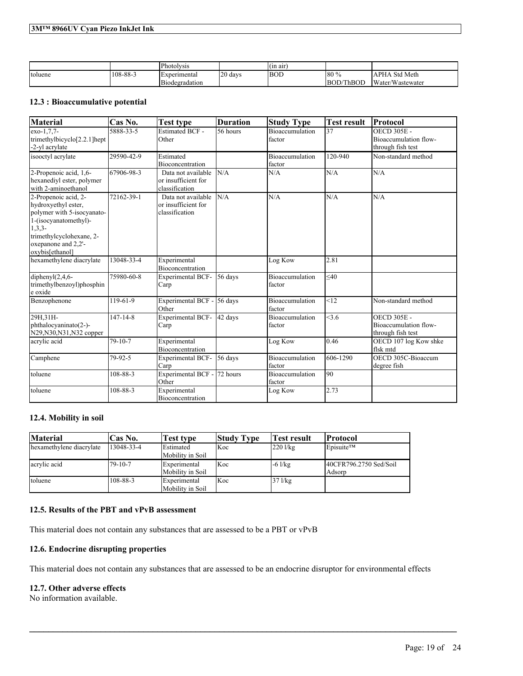|         |                | <i>Photolysis</i> |                 | $\sim$<br>(in air |           |                               |
|---------|----------------|-------------------|-----------------|-------------------|-----------|-------------------------------|
| toluene | $108 - 88 - 3$ | Experimental      | 20<br>davs<br>∸ | <b>BOD</b>        | 180 %     | <b>Std Meth</b><br>.APP<br>ΉA |
|         |                | Biodegradation    |                 |                   | BOD/ThBOD | Water/Wastewater              |

## **12.3 : Bioaccumulative potential**

| <b>Material</b>                                                                                                                                                                      | Cas No.        | <b>Test type</b>                                            | <b>Duration</b> | <b>Study Type</b>                | <b>Test result</b> | Protocol                                                         |
|--------------------------------------------------------------------------------------------------------------------------------------------------------------------------------------|----------------|-------------------------------------------------------------|-----------------|----------------------------------|--------------------|------------------------------------------------------------------|
| exo-1,7,7-<br>trimethylbicyclo[2.2.1]hept<br>-2-yl acrylate                                                                                                                          | 5888-33-5      | <b>Estimated BCF -</b><br>Other                             | 56 hours        | <b>Bioaccumulation</b><br>factor | 37                 | <b>OECD 305E -</b><br>Bioaccumulation flow-<br>through fish test |
| isooctyl acrylate                                                                                                                                                                    | 29590-42-9     | Estimated<br>Bioconcentration                               |                 | <b>Bioaccumulation</b><br>factor | 120-940            | Non-standard method                                              |
| 2-Propenoic acid, 1,6-<br>hexanediyl ester, polymer<br>with 2-aminoethanol                                                                                                           | 67906-98-3     | Data not available<br>or insufficient for<br>classification | N/A             | N/A                              | N/A                | N/A                                                              |
| 2-Propenoic acid, 2-<br>hydroxyethyl ester,<br>polymer with 5-isocyanato-<br>1-(isocyanatomethyl)-<br>$1,3,3-$<br>trimethylcyclohexane, 2-<br>oxepanone and 2.2'-<br>oxybis[ethanol] | 72162-39-1     | Data not available<br>or insufficient for<br>classification | N/A             | N/A                              | N/A                | N/A                                                              |
| hexamethylene diacrylate                                                                                                                                                             | 13048-33-4     | Experimental<br><b>Bioconcentration</b>                     |                 | Log Kow                          | 2.81               |                                                                  |
| diphenyl $(2,4,6$ -<br>trimethylbenzoyl)phosphin<br>e oxide                                                                                                                          | 75980-60-8     | <b>Experimental BCF-</b><br>Carp                            | 56 days         | <b>Bioaccumulation</b><br>factor | $<$ 40             |                                                                  |
| Benzophenone                                                                                                                                                                         | 119-61-9       | Experimental BCF -<br>Other                                 | 56 days         | <b>Bioaccumulation</b><br>factor | < 12               | Non-standard method                                              |
| 29H, 31H-<br>phthalocyaninato(2-)-<br>N29, N30, N31, N32 copper                                                                                                                      | $147 - 14 - 8$ | <b>Experimental BCF-</b><br>Carp                            | 42 days         | Bioaccumulation<br>factor        | < 3.6              | <b>OECD 305E -</b><br>Bioaccumulation flow-<br>through fish test |
| acrylic acid                                                                                                                                                                         | $79 - 10 - 7$  | Experimental<br>Bioconcentration                            |                 | Log Kow                          | 0.46               | OECD 107 log Kow shke<br>flsk mtd                                |
| Camphene                                                                                                                                                                             | 79-92-5        | <b>Experimental BCF-</b><br>Carp                            | 56 days         | <b>Bioaccumulation</b><br>factor | 606-1290           | OECD 305C-Bioaccum<br>degree fish                                |
| toluene                                                                                                                                                                              | 108-88-3       | Experimental BCF -<br>Other                                 | 72 hours        | Bioaccumulation<br>factor        | 90                 |                                                                  |
| toluene                                                                                                                                                                              | 108-88-3       | Experimental<br>Bioconcentration                            |                 | Log Kow                          | 2.73               |                                                                  |

# **12.4. Mobility in soil**

| <b>Material</b>          | Cas No.       | Test type                            | <b>Study Type</b> | Test result     | Protocol                         |
|--------------------------|---------------|--------------------------------------|-------------------|-----------------|----------------------------------|
| hexamethylene diacrylate | 13048-33-4    | <b>Estimated</b><br>Mobility in Soil | Koc               | $220$ l/kg      | Episuite™                        |
| acrylic acid             | $79 - 10 - 7$ | Experimental<br>Mobility in Soil     | Koc               | $-6$ $1/kg$     | 40CFR796.2750 Sed/Soil<br>Adsorp |
| toluene                  | 108-88-3      | Experimental<br>Mobility in Soil     | Koc               | $37$ $1$ / $kg$ |                                  |

# **12.5. Results of the PBT and vPvB assessment**

This material does not contain any substances that are assessed to be a PBT or vPvB

# **12.6. Endocrine disrupting properties**

This material does not contain any substances that are assessed to be an endocrine disruptor for environmental effects

 $\mathcal{L}_\mathcal{L} = \mathcal{L}_\mathcal{L} = \mathcal{L}_\mathcal{L} = \mathcal{L}_\mathcal{L} = \mathcal{L}_\mathcal{L} = \mathcal{L}_\mathcal{L} = \mathcal{L}_\mathcal{L} = \mathcal{L}_\mathcal{L} = \mathcal{L}_\mathcal{L} = \mathcal{L}_\mathcal{L} = \mathcal{L}_\mathcal{L} = \mathcal{L}_\mathcal{L} = \mathcal{L}_\mathcal{L} = \mathcal{L}_\mathcal{L} = \mathcal{L}_\mathcal{L} = \mathcal{L}_\mathcal{L} = \mathcal{L}_\mathcal{L}$ 

### **12.7. Other adverse effects**

No information available.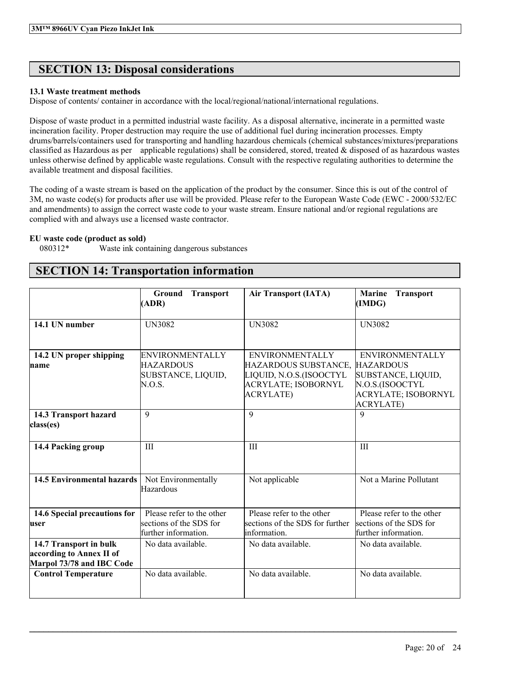# **SECTION 13: Disposal considerations**

### **13.1 Waste treatment methods**

Dispose of contents/ container in accordance with the local/regional/national/international regulations.

Dispose of waste product in a permitted industrial waste facility. As a disposal alternative, incinerate in a permitted waste incineration facility. Proper destruction may require the use of additional fuel during incineration processes. Empty drums/barrels/containers used for transporting and handling hazardous chemicals (chemical substances/mixtures/preparations classified as Hazardous as per applicable regulations) shall be considered, stored, treated  $\&$  disposed of as hazardous wastes unless otherwise defined by applicable waste regulations. Consult with the respective regulating authorities to determine the available treatment and disposal facilities.

The coding of a waste stream is based on the application of the product by the consumer. Since this is out of the control of 3M, no waste code(s) for products after use will be provided. Please refer to the European Waste Code (EWC - 2000/532/EC and amendments) to assign the correct waste code to your waste stream. Ensure national and/or regional regulations are complied with and always use a licensed waste contractor.

### **EU waste code (product as sold)**

080312\* Waste ink containing dangerous substances

# **SECTION 14: Transportation information**

|                                                                                 | <b>Ground</b><br><b>Transport</b><br>(ADR)                                   | <b>Air Transport (IATA)</b>                                                                                                 | <b>Marine</b><br><b>Transport</b><br>(IMDG)                                                                                           |
|---------------------------------------------------------------------------------|------------------------------------------------------------------------------|-----------------------------------------------------------------------------------------------------------------------------|---------------------------------------------------------------------------------------------------------------------------------------|
| 14.1 UN number                                                                  | <b>UN3082</b>                                                                | <b>UN3082</b>                                                                                                               | <b>UN3082</b>                                                                                                                         |
| 14.2 UN proper shipping<br>name                                                 | <b>ENVIRONMENTALLY</b><br><b>HAZARDOUS</b><br>SUBSTANCE, LIQUID,<br>N.O.S.   | <b>ENVIRONMENTALLY</b><br>HAZARDOUS SUBSTANCE,<br>LIQUID, N.O.S.(ISOOCTYL<br><b>ACRYLATE; ISOBORNYL</b><br><b>ACRYLATE)</b> | <b>ENVIRONMENTALLY</b><br><b>HAZARDOUS</b><br>SUBSTANCE, LIQUID,<br>N.O.S.(ISOOCTYL<br><b>ACRYLATE; ISOBORNYL</b><br><b>ACRYLATE)</b> |
| 14.3 Transport hazard<br>class(es)                                              | 9                                                                            | $\mathbf{Q}$                                                                                                                | $\mathbf Q$                                                                                                                           |
| 14.4 Packing group                                                              | III                                                                          | III                                                                                                                         | III                                                                                                                                   |
| <b>14.5 Environmental hazards</b>                                               | Not Environmentally<br>Hazardous                                             | Not applicable                                                                                                              | Not a Marine Pollutant                                                                                                                |
| 14.6 Special precautions for<br>luser                                           | Please refer to the other<br>sections of the SDS for<br>further information. | Please refer to the other<br>sections of the SDS for further<br>information.                                                | Please refer to the other<br>sections of the SDS for<br>further information.                                                          |
| 14.7 Transport in bulk<br>according to Annex II of<br>Marpol 73/78 and IBC Code | No data available.                                                           | No data available.                                                                                                          | No data available.                                                                                                                    |
| <b>Control Temperature</b>                                                      | No data available.                                                           | No data available.                                                                                                          | No data available.                                                                                                                    |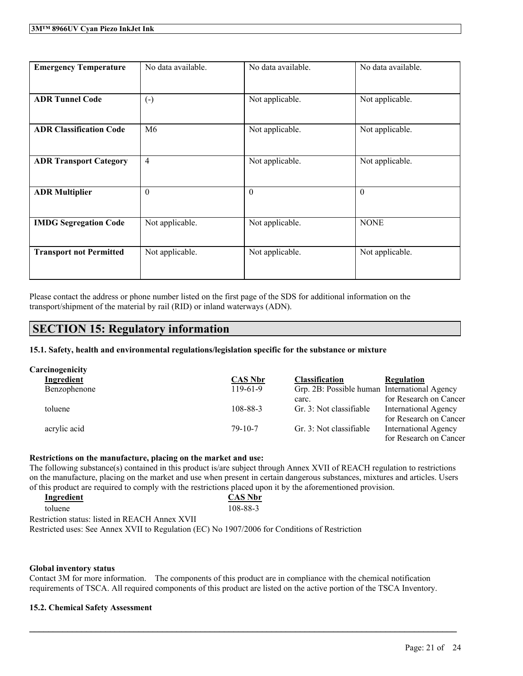| <b>Emergency Temperature</b>   | No data available.   | No data available. | No data available. |
|--------------------------------|----------------------|--------------------|--------------------|
| <b>ADR Tunnel Code</b>         | $\left(\cdot\right)$ | Not applicable.    | Not applicable.    |
| <b>ADR Classification Code</b> | M <sub>6</sub>       | Not applicable.    | Not applicable.    |
| <b>ADR Transport Category</b>  | $\overline{4}$       | Not applicable.    | Not applicable.    |
| <b>ADR Multiplier</b>          | $\theta$             | $\theta$           | $\theta$           |
| <b>IMDG Segregation Code</b>   | Not applicable.      | Not applicable.    | <b>NONE</b>        |
| <b>Transport not Permitted</b> | Not applicable.      | Not applicable.    | Not applicable.    |

Please contact the address or phone number listed on the first page of the SDS for additional information on the transport/shipment of the material by rail (RID) or inland waterways (ADN).

# **SECTION 15: Regulatory information**

**15.1. Safety, health and environmental regulations/legislation specific for the substance or mixture**

| Carcinogenicity   |                |                                              |                             |
|-------------------|----------------|----------------------------------------------|-----------------------------|
| <b>Ingredient</b> | <b>CAS Nbr</b> | <b>Classification</b>                        | Regulation                  |
| Benzophenone      | $119-61-9$     | Grp. 2B: Possible human International Agency |                             |
|                   |                | carc.                                        | for Research on Cancer      |
| toluene           | 108-88-3       | Gr. 3: Not classifiable                      | <b>International Agency</b> |
|                   |                |                                              | for Research on Cancer      |
| acrylic acid      | $79-10-7$      | Gr. 3: Not classifiable                      | <b>International Agency</b> |
|                   |                |                                              | for Research on Cancer      |

#### **Restrictions on the manufacture, placing on the market and use:**

The following substance(s) contained in this product is/are subject through Annex XVII of REACH regulation to restrictions on the manufacture, placing on the market and use when present in certain dangerous substances, mixtures and articles. Users of this product are required to comply with the restrictions placed upon it by the aforementioned provision.

| Ingredient                                                                                    | <b>CAS Nbr</b> |
|-----------------------------------------------------------------------------------------------|----------------|
| toluene                                                                                       | 108-88-3       |
| Restriction status: listed in REACH Annex XVII                                                |                |
| Restricted uses: See Annex XVII to Regulation (EC) No 1907/2006 for Conditions of Restriction |                |

#### **Global inventory status**

Contact 3M for more information. The components of this product are in compliance with the chemical notification requirements of TSCA. All required components of this product are listed on the active portion of the TSCA Inventory.

 $\mathcal{L}_\mathcal{L} = \mathcal{L}_\mathcal{L} = \mathcal{L}_\mathcal{L} = \mathcal{L}_\mathcal{L} = \mathcal{L}_\mathcal{L} = \mathcal{L}_\mathcal{L} = \mathcal{L}_\mathcal{L} = \mathcal{L}_\mathcal{L} = \mathcal{L}_\mathcal{L} = \mathcal{L}_\mathcal{L} = \mathcal{L}_\mathcal{L} = \mathcal{L}_\mathcal{L} = \mathcal{L}_\mathcal{L} = \mathcal{L}_\mathcal{L} = \mathcal{L}_\mathcal{L} = \mathcal{L}_\mathcal{L} = \mathcal{L}_\mathcal{L}$ 

#### **15.2. Chemical Safety Assessment**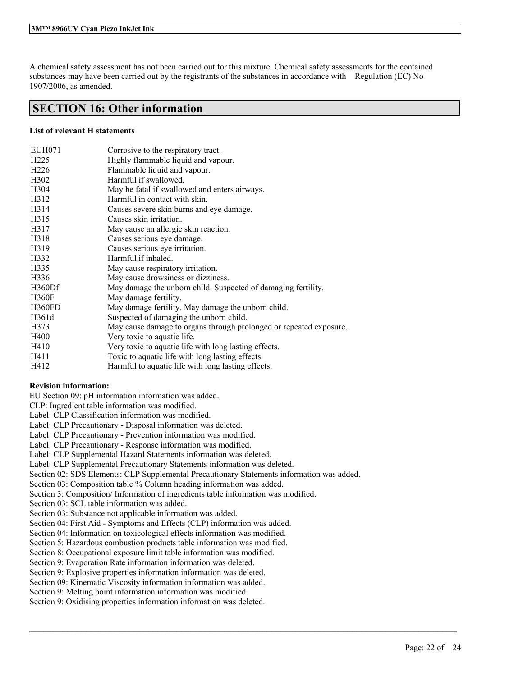A chemical safety assessment has not been carried out for this mixture. Chemical safety assessments for the contained substances may have been carried out by the registrants of the substances in accordance with Regulation (EC) No 1907/2006, as amended.

# **SECTION 16: Other information**

## **List of relevant H statements**

| EUH071            | Corrosive to the respiratory tract.                                |
|-------------------|--------------------------------------------------------------------|
| H <sub>225</sub>  | Highly flammable liquid and vapour.                                |
| H <sub>226</sub>  | Flammable liquid and vapour.                                       |
| H <sub>3</sub> 02 | Harmful if swallowed.                                              |
| H304              | May be fatal if swallowed and enters airways.                      |
| H312              | Harmful in contact with skin.                                      |
| H314              | Causes severe skin burns and eye damage.                           |
| H315              | Causes skin irritation.                                            |
| H317              | May cause an allergic skin reaction.                               |
| H318              | Causes serious eye damage.                                         |
| H319              | Causes serious eye irritation.                                     |
| H332              | Harmful if inhaled.                                                |
| H335              | May cause respiratory irritation.                                  |
| H336              | May cause drowsiness or dizziness.                                 |
| H360Df            | May damage the unborn child. Suspected of damaging fertility.      |
| <b>H360F</b>      | May damage fertility.                                              |
| H360FD            | May damage fertility. May damage the unborn child.                 |
| H361d             | Suspected of damaging the unborn child.                            |
| H373              | May cause damage to organs through prolonged or repeated exposure. |
| H400              | Very toxic to aquatic life.                                        |
| H410              | Very toxic to aquatic life with long lasting effects.              |
| H411              | Toxic to aquatic life with long lasting effects.                   |
| H412              | Harmful to aquatic life with long lasting effects.                 |

## **Revision information:**

EU Section 09: pH information information was added.

CLP: Ingredient table information was modified.

Label: CLP Classification information was modified.

Label: CLP Precautionary - Disposal information was deleted.

Label: CLP Precautionary - Prevention information was modified.

Label: CLP Precautionary - Response information was modified.

Label: CLP Supplemental Hazard Statements information was deleted.

Label: CLP Supplemental Precautionary Statements information was deleted.

Section 02: SDS Elements: CLP Supplemental Precautionary Statements information was added.

 $\mathcal{L}_\mathcal{L} = \mathcal{L}_\mathcal{L} = \mathcal{L}_\mathcal{L} = \mathcal{L}_\mathcal{L} = \mathcal{L}_\mathcal{L} = \mathcal{L}_\mathcal{L} = \mathcal{L}_\mathcal{L} = \mathcal{L}_\mathcal{L} = \mathcal{L}_\mathcal{L} = \mathcal{L}_\mathcal{L} = \mathcal{L}_\mathcal{L} = \mathcal{L}_\mathcal{L} = \mathcal{L}_\mathcal{L} = \mathcal{L}_\mathcal{L} = \mathcal{L}_\mathcal{L} = \mathcal{L}_\mathcal{L} = \mathcal{L}_\mathcal{L}$ 

Section 03: Composition table % Column heading information was added.

Section 3: Composition/ Information of ingredients table information was modified.

Section 03: SCL table information was added.

Section 03: Substance not applicable information was added.

Section 04: First Aid - Symptoms and Effects (CLP) information was added.

Section 04: Information on toxicological effects information was modified.

Section 5: Hazardous combustion products table information was modified.

Section 8: Occupational exposure limit table information was modified.

Section 9: Evaporation Rate information information was deleted.

Section 9: Explosive properties information information was deleted.

Section 09: Kinematic Viscosity information information was added.

Section 9: Melting point information information was modified.

Section 9: Oxidising properties information information was deleted.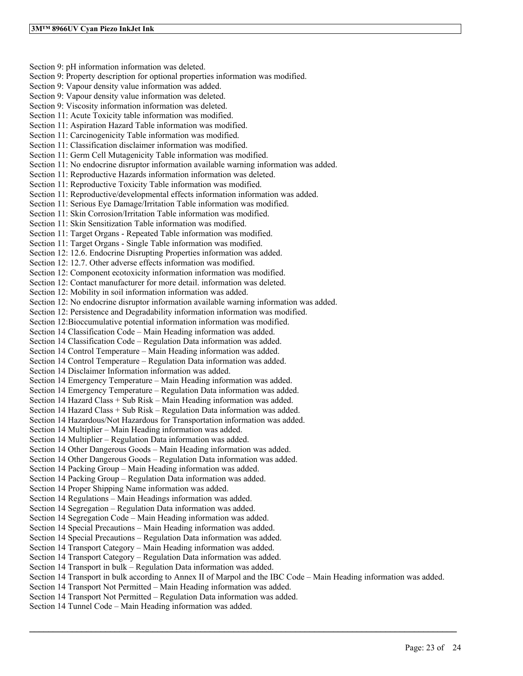Section 9: pH information information was deleted. Section 9: Property description for optional properties information was modified. Section 9: Vapour density value information was added. Section 9: Vapour density value information was deleted. Section 9: Viscosity information information was deleted. Section 11: Acute Toxicity table information was modified. Section 11: Aspiration Hazard Table information was modified. Section 11: Carcinogenicity Table information was modified. Section 11: Classification disclaimer information was modified. Section 11: Germ Cell Mutagenicity Table information was modified. Section 11: No endocrine disruptor information available warning information was added. Section 11: Reproductive Hazards information information was deleted. Section 11: Reproductive Toxicity Table information was modified. Section 11: Reproductive/developmental effects information information was added. Section 11: Serious Eye Damage/Irritation Table information was modified. Section 11: Skin Corrosion/Irritation Table information was modified. Section 11: Skin Sensitization Table information was modified. Section 11: Target Organs - Repeated Table information was modified. Section 11: Target Organs - Single Table information was modified. Section 12: 12.6. Endocrine Disrupting Properties information was added. Section 12: 12.7. Other adverse effects information was modified. Section 12: Component ecotoxicity information information was modified. Section 12: Contact manufacturer for more detail. information was deleted. Section 12: Mobility in soil information information was added. Section 12: No endocrine disruptor information available warning information was added. Section 12: Persistence and Degradability information information was modified. Section 12:Bioccumulative potential information information was modified. Section 14 Classification Code – Main Heading information was added. Section 14 Classification Code – Regulation Data information was added. Section 14 Control Temperature – Main Heading information was added. Section 14 Control Temperature – Regulation Data information was added. Section 14 Disclaimer Information information was added. Section 14 Emergency Temperature – Main Heading information was added. Section 14 Emergency Temperature – Regulation Data information was added. Section 14 Hazard Class + Sub Risk – Main Heading information was added. Section 14 Hazard Class + Sub Risk – Regulation Data information was added. Section 14 Hazardous/Not Hazardous for Transportation information was added. Section 14 Multiplier – Main Heading information was added. Section 14 Multiplier – Regulation Data information was added. Section 14 Other Dangerous Goods – Main Heading information was added. Section 14 Other Dangerous Goods – Regulation Data information was added. Section 14 Packing Group – Main Heading information was added. Section 14 Packing Group – Regulation Data information was added. Section 14 Proper Shipping Name information was added. Section 14 Regulations – Main Headings information was added. Section 14 Segregation – Regulation Data information was added. Section 14 Segregation Code – Main Heading information was added. Section 14 Special Precautions – Main Heading information was added. Section 14 Special Precautions – Regulation Data information was added. Section 14 Transport Category – Main Heading information was added. Section 14 Transport Category – Regulation Data information was added. Section 14 Transport in bulk – Regulation Data information was added. Section 14 Transport in bulk according to Annex II of Marpol and the IBC Code – Main Heading information was added. Section 14 Transport Not Permitted – Main Heading information was added. Section 14 Transport Not Permitted – Regulation Data information was added. Section 14 Tunnel Code – Main Heading information was added.